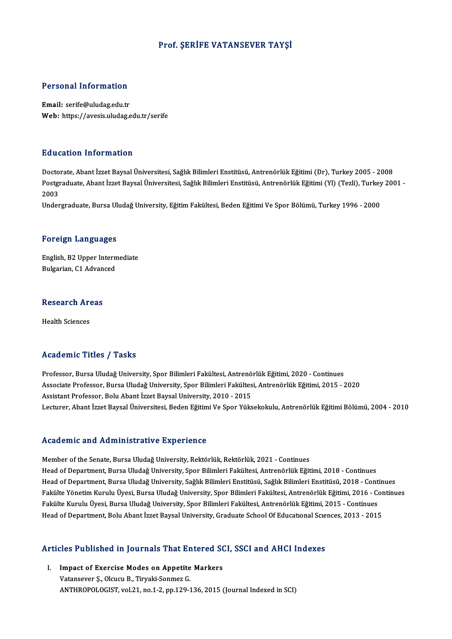#### Prof. ŞERİFE VATANSEVER TAYŞİ

#### Personal Information

Email: serife@uludag.edu.tr Web: https://avesis.uludag.edu.tr/serife

#### Education Information

<mark>Education Information</mark><br>Doctorate, Abant İzzet Baysal Üniversitesi, Sağlık Bilimleri Enstitüsü, Antrenörlük Eğitimi (Dr), Turkey 2005 - 2008<br>Postsraduate, Abant İzzet Baysal Üniversitesi, Sağlık Bilimleri Enstitüsü, Antren Postgraduate, Abant İzzet Baysal Üniversitesi, Sağlık Bilimleri Enstitüsü, Antrenörlük Eğitimi (Yl) (Tezli), Turkey 2001 -<br>2003 Docto<br>Postgi<br>2003<br>Under

Undergraduate, Bursa Uludağ University, Eğitim Fakültesi, Beden Eğitimi Ve Spor Bölümü, Turkey 1996 - 2000

#### Foreign Languages

English,B2Upper Intermediate Bulgarian, C1 Advanced

# Bulgarian, CI Advan<br>Research Areas R<mark>esearch Ar</mark><br>Health Sciences

# Academic Titles / Tasks

Professor, Bursa Uludağ University, Spor Bilimleri Fakültesi, Antrenörlük Eğitimi, 2020 - Continues Associate Artice 7 Tubas<br>Professor, Bursa Uludağ University, Spor Bilimleri Fakültesi, Antrenörlük Eğitimi, 2020 - Continues<br>Associate Professor, Bursa Uludağ University, Spor Bilimleri Fakültesi, Antrenörlük Eğitimi, 2015 Professor, Bursa Uludağ University, Spor Bilimleri Fakültesi, Antrenö<br>Associate Professor, Bursa Uludağ University, Spor Bilimleri Fakültes<br>Assistant Professor, Bolu Abant İzzet Baysal University, 2010 - 2015<br>Lestuner, Aba Assistant Professor, Bolu Abant İzzet Baysal University, 2010 - 2015<br>Lecturer, Abant İzzet Baysal Üniversitesi, Beden Eğitimi Ve Spor Yüksekokulu, Antrenörlük Eğitimi Bölümü, 2004 - 2010

#### Academic and Administrative Experience

Member of the Senate, Bursa Uludağ University, Rektörlük, Rektörlük, 2021 - Continues Head of Department, Bursa Uludağ University, Spor Bilimleri Fakültesi, Antrenörlük Eğitimi, 2018 - Continues Head of Department, Bursa Uludağ University, Sağlık Bilimleri Enstitüsü, Sağlık Bilimleri Enstitüsü, 2018 - Continues Head of Department, Bursa Uludağ University, Spor Bilimleri Fakültesi, Antrenörlük Eğitimi, 2018 - Continues<br>Head of Department, Bursa Uludağ University, Sağlık Bilimleri Enstitüsü, Sağlık Bilimleri Enstitüsü, 2018 - Conti Head of Department, Bursa Uludağ University, Sağlık Bilimleri Enstitüsü, Sağlık Bilimleri Enstitüsü, 2018 - Cont<br>Fakülte Yönetim Kurulu Üyesi, Bursa Uludağ University, Spor Bilimleri Fakültesi, Antrenörlük Eğitimi, 2016 - Fakülte Yönetim Kurulu Üyesi, Bursa Uludağ University, Spor Bilimleri Fakültesi, Antrenörlük Eğitimi, 2016 - Cor<br>Fakülte Kurulu Üyesi, Bursa Uludağ University, Spor Bilimleri Fakültesi, Antrenörlük Eğitimi, 2015 - Continue

# nead of Department, Bolu Abant Izzet Baysal University, Graduate School Of Educational Scie<br>Articles Published in Journals That Entered SCI, SSCI and AHCI Indexes

rticles Published in Journals That Entered SON<br>I. Impact of Exercise Modes on Appetite Markers<br>Materscues Solevey B. Tinuali Sonmer C I. Impact of Exercise Modes on Appetite Markers<br>Vatansever Ş., Olcucu B., Tiryaki-Sonmez G. ANTHROPOLOGIST, vol.21, no.1-2, pp.129-136, 2015 (Journal Indexed in SCI)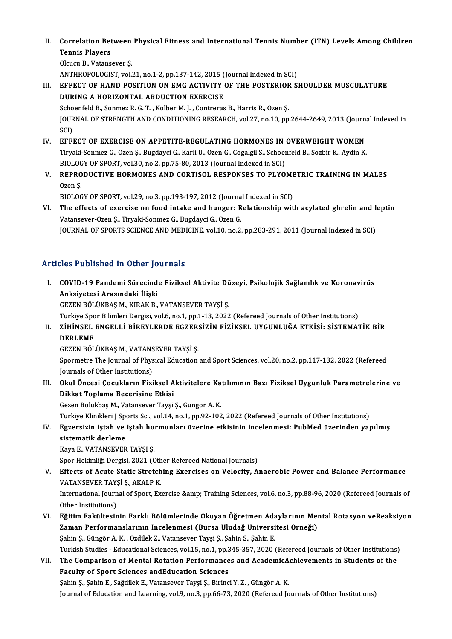II. Correlation Between Physical Fitness and International Tennis Number (ITN) Levels Among Children<br>Tennis Players **Correlation Bet**<br>Tennis Players<br>Olgygy B. Vetans **Correlation Between<br>Tennis Players<br>Olcucu B., Vatansever Ş.<br>ANTUPOPOLOCIST vel.** Tennis Players<br>Olcucu B., Vatansever Ş.<br>ANTHROPOLOGIST, vol.21, no.1-2, pp.137-142, 2015 (Journal Indexed in SCI)<br>EEEECT OF HAND POSITION ON EMC ACTIVITY OF THE POSTERIOR S.

Olcucu B., Vatansever Ş.<br>ANTHROPOLOGIST, vol.21, no.1-2, pp.137-142, 2015 (Journal Indexed in SCI)<br>III. EFFECT OF HAND POSITION ON EMG ACTIVITY OF THE POSTERIOR SHOULDER MUSCULATURE<br>DURING A HORIZONTAL ABDUCTION EXERCISE ANTHROPOLOGIST, vol.21, no.1-2, pp.137-142, 2015 (<br>EFFECT OF HAND POSITION ON EMG ACTIVITY (DURING A HORIZONTAL ABDUCTION EXERCISE<br>Schoorfold B. Sonmar B. G. T., Kolber M. L. Contreres EFFECT OF HAND POSITION ON EMG ACTIVITY OF THE POSTERIOF<br>DURING A HORIZONTAL ABDUCTION EXERCISE<br>Schoenfeld B., Sonmez R. G. T. , Kolber M. J. , Contreras B., Harris R., Ozen Ş.<br>JOUPMAL OF STRENCTH AND CONDITIONING RESEARCH

JOURNAL OF STRENGTH AND CONDITIONING RESEARCH, vol.27, no.10, pp.2644-2649, 2013 (Journal Indexed in<br>SCI) Scho<br>JOUR<br>SCI)<br>EEEI JOURNAL OF STRENGTH AND CONDITIONING RESEARCH, vol.27, no.10, pp.2644-2649, 2013 (Journ SCI)<br>SCI)<br>IV. EFFECT OF EXERCISE ON APPETITE-REGULATING HORMONES IN OVERWEIGHT WOMEN<br>Tinyaki Sonmar C. Ozon S. Pugdaygi C. Karli II. O

- SCI)<br>EFFECT OF EXERCISE ON APPETITE-REGULATING HORMONES IN OVERWEIGHT WOMEN<br>Tiryaki-Sonmez G., Ozen Ş., Bugdayci G., Karli U., Ozen G., Cogalgil S., Schoenfeld B., Sozbir K., Aydin K.<br>BIOLOCY OF SPOPT 112.20, no.2, nn.75, EFFECT OF EXERCISE ON APPETITE-REGULATING HORMONES IN<br>Tiryaki-Sonmez G., Ozen Ş., Bugdayci G., Karli U., Ozen G., Cogalgil S., Schoen<br>BIOLOGY OF SPORT, vol.30, no.2, pp.75-80, 2013 (Journal Indexed in SCI)<br>REPRODUCTIVE HOR BIOLOGY OF SPORT, vol.30, no.2, pp.75-80, 2013 (Journal Indexed in SCI)
- Tiryaki-Sonmez G., Ozen Ş., Bugdayci G., Karli U., Ozen G., Cogalgil S., Schoenfeld B., Sozbir K., Aydin K.<br>BIOLOGY OF SPORT, vol.30, no.2, pp.75-80, 2013 (Journal Indexed in SCI)<br>V. REPRODUCTIVE HORMONES AND CORTISOL RESP REPRODUCTIVE HORMONES AND CORTISOL RESPONSES TO PLYOME<br>Ozen Ş.<br>BIOLOGY OF SPORT, vol.29, no.3, pp.193-197, 2012 (Journal Indexed in SCI)<br>The effects of exergise on food intelse and hungery Pelationship wit

VI. The effects of exercise on food intake and hunger: Relationship with acylated ghrelin and leptin<br>Vatansever-Ozen S., Tiryaki-Sonmez G., Bugdayci G., Ozen G. BIOLOGY OF SPORT, vol.29, no.3, pp.193-197, 2012 (Journa<br>The effects of exercise on food intake and hunger: R<br>Vatansever-Ozen Ş., Tiryaki-Sonmez G., Bugdayci G., Ozen G.<br>JOURNAL OF SPOPTS SCIENCE AND MEDICINE vol.10, pc.3. JOURNAL OF SPORTS SCIENCE AND MEDICINE, vol.10, no.2, pp.283-291, 2011 (Journal Indexed in SCI)

#### Articles Published in Other Journals

rticles Published in Other Journals<br>I. COVID-19 Pandemi Sürecinde Fiziksel Aktivite Düzeyi, Psikolojik Sağlamlık ve Koronavirüs<br>Anksivetesi Arasındaki İlişki Anksiyetesi Arasındaki İlişki<br>Anksiyetesi Arasındaki İlişki<br>CEZEN PÖLÜKRAS M. KIRAK B Anksiyetesi Arasındaki İlişki<br>GEZEN BÖLÜKBAŞ M., KIRAK B., VATANSEVER TAYŞİ Ş. Anksiyetesi Arasındaki İlişki<br>GEZEN BÖLÜKBAŞ M., KIRAK B., VATANSEVER TAYŞİ Ş.<br>Türkiye Spor Bilimleri Dergisi, vol.6, no.1, pp.1-13, 2022 (Refereed Journals of Other Institutions)<br>Ziuinsel, ENGELLİ PİREVLERDE EGZERSİZİN Eİ GEZEN BÖLÜKBAŞ M., KIRAK B., VATANSEVER TAYŞİ Ş.<br>Türkiye Spor Bilimleri Dergisi, vol.6, no.1, pp.1-13, 2022 (Refereed Journals of Other Institutions)<br>II. ZİHİNSEL ENGELLİ BİREYLERDE EGZERSİZİN FİZİKSEL UYGUNLUĞA ETKİSİ: Sİ Türkiye Spo<br>ZİHİNSEL<br>DERLEME<br>CEZEN PÖL ZİHİNSEL ENGELLİ BİREYLERDE EGZER:<br>DERLEME<br>GEZEN BÖLÜKBAŞ M., VATANSEVER TAYŞİ Ş.<br>Spermetre The Journal of Physical Education.

DERLEME<br>GEZEN BÖLÜKBAŞ M., VATANSEVER TAYŞİ Ş.<br>Spormetre The Journal of Physical Education and Sport Sciences, vol.20, no.2, pp.117-132, 2022 (Refereed<br>Journals of Other Institutions) GEZEN BÖLÜKBAŞ M., VATANS<br>Spormetre The Journal of Phys<br>Journals of Other Institutions)<br>Okul Öngesi Cosuklanın Fizi Spormetre The Journal of Physical Education and Sport Sciences, vol.20, no.2, pp.117-132, 2022 (Refereed<br>Journals of Other Institutions)<br>III. Okul Öncesi Çocukların Fiziksel Aktivitelere Katılımının Bazı Fiziksel Uygunluk

Journals of Other Institutions)<br>Okul Öncesi Çocukların Fiziksel A<br>Dikkat Toplama Becerisine Etkisi<br>Cerer Bölükbes M. Vetansever Tevri Okul Öncesi Çocukların Fiziksel Aktivitelere Ka<br>Dikkat Toplama Becerisine Etkisi<br>Gezen Bölükbaş M., Vatansever Tayşi Ş., Güngör A.K.<br>Turkiye Klinikleri I Sports Ssi, vol 14, po 1, pp 93, 193

Di<mark>kkat Toplama Becerisine Etkisi</mark><br>Gezen Bölükbaş M., Vatansever Tayşi Ş., Güngör A. K.<br>Turkiye Klinikleri J Sports Sci., vol.14, no.1, pp.92-102, 2022 (Refereed Journals of Other Institutions)

# Gezen Bölükbaş M., Vatansever Tayşi Ş., Güngör A. K.<br>Turkiye Klinikleri J Sports Sci., vol.14, no.1, pp.92-102, 2022 (Refereed Journals of Other Institutions)<br>IV. Egzersizin iştah ve iştah hormonları üzerine etkisinin Turkiye Klinikleri J Spe<br>Egzersizin iştah ve<br>sistematik derleme<br>Kaya E. VATANSEVER Egzersizin iştah ve iştah ho:<br>sistematik derleme<br>Kaya E., VATANSEVER TAYŞİ Ş.<br>Spor Hekimliği Dergisi 2021 (C sistematik derleme<br>Kaya E., VATANSEVER TAYŞİ Ş.<br>Spor Hekimliği Dergisi, 2021 (Other Refereed National Journals)<br>Effects of Asute Statis Stratebing Exergises on Velogity, A.

Kaya E., VATANSEVER TAYŞİ Ş.<br>Spor Hekimliği Dergisi, 2021 (Other Refereed National Journals)<br>V. Effects of Acute Static Stretching Exercises on Velocity, Anaerobic Power and Balance Performance<br>VATANSEVER TAYSİ Ş., AKALP K Spor Hekimliği Dergisi, 2021 (Oth<br>Effects of Acute Static Stretch<br>VATANSEVER TAYŞİ Ş., AKALP K.<br>International Journal of Sport Ev Effects of Acute Static Stretching Exercises on Velocity, Anaerobic Power and Balance Performance<br>VATANSEVER TAYŞİ Ş., AKALP K.<br>International Journal of Sport, Exercise &amp; Training Sciences, vol.6, no.3, pp.88-96, 2020

VATANSEVER TAY<sub>Ş</sub><br>International Journ<br>Other Institutions)<br>Făitim Fekültesin International Journal of Sport, Exercise & Training Sciences, vol.6, no.3, pp.88-96, 2020 (Refereed Journals of<br>Other Institutions)<br>VI. Eğitim Fakültesinin Farklı Bölümlerinde Okuyan Öğretmen Adaylarının Mental Rotasyo

- Other Institutions)<br>Eğitim Fakültesinin Farklı Bölümlerinde Okuyan Öğretmen Adaylarının Meı<br>Zaman Performanslarının İncelenmesi (Bursa Uludağ Üniversitesi Örneği)<br>Sehin S. Güngör A.K. Özdilek 7. Vetensever Tevgi S. Sehin S Eğitim Fakültesinin Farklı Bölümlerinde Okuyan Öğretmen Ada<br>Zaman Performanslarının İncelenmesi (Bursa Uludağ Üniversi<br>Şahin Ş., Güngör A.K., Özdilek Z., Vatansever Tayşi Ş., Şahin S., Şahin E.<br>Turkish Studies, Edusational Zaman Performanslarının İncelenmesi (Bursa Uludağ Üniversitesi Örneği)<br>Şahin Ş., Güngör A. K. , Özdilek Z., Vatansever Tayşi Ş., Şahin S., Şahin E.<br>Turkish Studies - Educational Sciences, vol.15, no.1, pp.345-357, 2020 (Re Sahin S., Güngör A. K. , Özdilek Z., Vatansever Tayşi Ş., Şahin S., Şahin E.<br>Turkish Studies - Educational Sciences, vol.15, no.1, pp.345-357, 2020 (Refereed Journals of Other Institutions)<br>VII. The Comparison of Mental Ro
- Faculty of Sport Sciences andEducation Sciences<br>Şahin Ş., Şahin E., Sağdilek E., Vatansever Tayşi Ş., Birinci Y. Z. , Güngör A. K. The Comparison of Mental Rotation Performances and AcademicA<br>Faculty of Sport Sciences andEducation Sciences<br>Şahin Ş., Şahin E., Sağdilek E., Vatansever Tayşi Ş., Birinci Y. Z. , Güngör A. K.<br>Journal of Education and Learn

Journal of Education and Learning, vol.9, no.3, pp.66-73, 2020 (Refereed Journals of Other Institutions)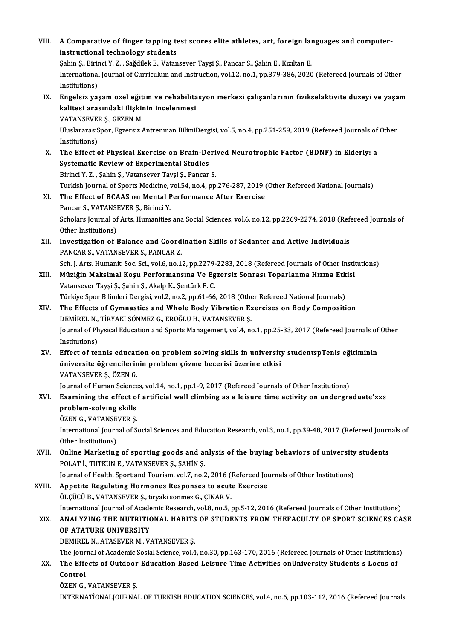| VIII.  | A Comparative of finger tapping test scores elite athletes, art, foreign languages and computer-                                 |
|--------|----------------------------------------------------------------------------------------------------------------------------------|
|        | instructional technology students                                                                                                |
|        | Şahin Ş., Birinci Y. Z., Sağdilek E., Vatansever Tayşi Ş., Pancar S., Şahin E., Kızıltan E.                                      |
|        | International Journal of Curriculum and Instruction, vol.12, no.1, pp.379-386, 2020 (Refereed Journals of Other<br>Institutions) |
| IX.    | Engelsiz yaşam özel eğitim ve rehabilitasyon merkezi çalışanlarının fizikselaktivite düzeyi ve yaşam                             |
|        | kalitesi arasındaki ilişkinin incelenmesi                                                                                        |
|        | VATANSEVER \$, GEZEN M.                                                                                                          |
|        | UluslararasıSpor, Egzersiz Antrenman BilimiDergisi, vol.5, no.4, pp.251-259, 2019 (Refereed Journals of Other                    |
|        | Institutions)                                                                                                                    |
| X.     | The Effect of Physical Exercise on Brain-Derived Neurotrophic Factor (BDNF) in Elderly: a                                        |
|        | <b>Systematic Review of Experimental Studies</b>                                                                                 |
|        | Birinci Y. Z., Şahin Ş., Vatansever Tayşi Ş., Pancar S.                                                                          |
|        | Turkish Journal of Sports Medicine, vol.54, no.4, pp.276-287, 2019 (Other Refereed National Journals)                            |
| XI.    | The Effect of BCAAS on Mental Performance After Exercise                                                                         |
|        | Pancar S., VATANSEVER S., Birinci Y.                                                                                             |
|        | Scholars Journal of Arts, Humanities ana Social Sciences, vol.6, no.12, pp.2269-2274, 2018 (Refereed Journals of                 |
|        | Other Institutions)                                                                                                              |
| XII.   | Investigation of Balance and Coordination Skills of Sedanter and Active Individuals                                              |
|        | PANCAR S., VATANSEVER Ş., PANCAR Z.                                                                                              |
|        | Sch. J. Arts. Humanit. Soc. Sci., vol.6, no.12, pp.2279-2283, 2018 (Refereed Journals of Other Institutions)                     |
| XIII.  | Müziğin Maksimal Koşu Performansına Ve Egzersiz Sonrası Toparlanma Hızına Etkisi                                                 |
|        | Vatansever Tayşi Ş., Şahin Ş., Akalp K., Şentürk F. C.                                                                           |
|        | Türkiye Spor Bilimleri Dergisi, vol.2, no.2, pp.61-66, 2018 (Other Refereed National Journals)                                   |
| XIV.   | The Effects of Gymnastics and Whole Body Vibration Exercises on Body Composition                                                 |
|        | DEMİREL N., TİRYAKİ SÖNMEZ G., EROĞLU H., VATANSEVER Ş.                                                                          |
|        | Journal of Physical Education and Sports Management, vol.4, no.1, pp.25-33, 2017 (Refereed Journals of Other                     |
|        | Institutions)<br>Effect of tennis education on problem solving skills in university studentspTenis eğitiminin                    |
| XV.    | üniversite öğrencilerinin problem çözme becerisi üzerine etkisi                                                                  |
|        | VATANSEVER \$, ÖZEN G.                                                                                                           |
|        | Journal of Human Sciences, vol.14, no.1, pp.1-9, 2017 (Refereed Journals of Other Institutions)                                  |
| XVI.   | Examining the effect of artificial wall climbing as a leisure time activity on undergraduate'xxs                                 |
|        | problem-solving skills                                                                                                           |
|        | ÖZEN G., VATANSEVER Ş.                                                                                                           |
|        | International Journal of Social Sciences and Education Research, vol.3, no.1, pp.39-48, 2017 (Refereed Journals of               |
|        | Other Institutions)                                                                                                              |
| XVII.  | Online Marketing of sporting goods and anlysis of the buying behaviors of university students                                    |
|        | POLAT İ., TUTKUN E., VATANSEVER Ş., ŞAHİN Ş.                                                                                     |
|        | Journal of Health, Sport and Tourism, vol.7, no.2, 2016 (Refereed Journals of Other Institutions)                                |
| XVIII. | Appetite Regulating Hormones Responses to acute Exercise                                                                         |
|        | ÖLÇÜCÜ B., VATANSEVER Ş., tiryaki sönmez G., ÇINAR V.                                                                            |
|        | International Journal of Academic Research, vol.8, no.5, pp.5-12, 2016 (Refereed Journals of Other Institutions)                 |
| XIX.   | ANALYZING THE NUTRITIONAL HABITS OF STUDENTS FROM THEFACULTY OF SPORT SCIENCES CASE                                              |
|        | OF ATATURK UNIVERSITY                                                                                                            |
|        | DEMIREL N., ATASEVER M., VATANSEVER Ş.                                                                                           |
|        | The Journal of Academic Sosial Science, vol.4, no.30, pp.163-170, 2016 (Refereed Journals of Other Institutions)                 |
| XX.    | The Effects of Outdoor Education Based Leisure Time Activities onUniversity Students s Locus of                                  |
|        | Control<br>ÖZEN G., VATANSEVER Ş.                                                                                                |
|        | INTERNATIONALJOURNAL OF TURKISH EDUCATION SCIENCES, vol.4, no.6, pp.103-112, 2016 (Refereed Journals                             |
|        |                                                                                                                                  |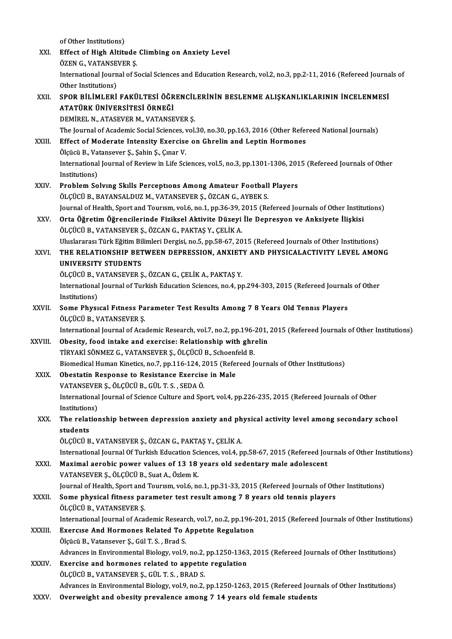- ofOther Institutions) of Other Institutions)<br>XXI. Effect of High Altitude Climbing on Anxiety Level<br>ÖZEN C. VATANSEVER S of Other Institutions)<br>Effect of High Altitude<br>ÖZEN G., VATANSEVER Ş.<br>International Journal of S Effect of High Altitude Climbing on Anxiety Level<br>ÖZEN G., VATANSEVER Ş.<br>International Journal of Social Sciences and Education Research, vol.2, no.3, pp.2-11, 2016 (Refereed Journals of ÖZEN G., VATANSE<br>International Journ<br>Other Institutions)<br>SPOP PIL IMLEPL International Journal of Social Sciences and Education Research, vol.2, no.3, pp.2-11, 2016 (Refereed Journa<br>Other Institutions)<br>XXII. SPOR BİLİMLERİ FAKÜLTESİ ÖĞRENCİLERİNİN BESLENME ALIŞKANLIKLARININ İNCELENMESİ<br>ATATÜPK Other Institutions)<br>SPOR BİLİMLERİ FAKÜLTESİ ÖĞR<br>ATATÜRK ÜNİVERSİTESİ ÖRNEĞİ<br>DEMİPEL N. ATASEVER M. VATANSE SPOR BİLİMLERİ FAKÜLTESİ ÖĞRENCİL<br>ATATÜRK ÜNİVERSİTESİ ÖRNEĞİ<br>DEMİREL N., ATASEVER M., VATANSEVER Ş.<br>The Journal of Academis Social Sciences, vol. ATATÜRK ÜNİVERSİTESİ ÖRNEĞİ<br>DEMİREL N., ATASEVER M., VATANSEVER Ş.<br>The Journal of Academic Social Sciences, vol.30, no.30, pp.163, 2016 (Other Refereed National Journals)<br>Effect of Moderate Intensity Exergise en Chrolin an DEMIREL N., ATASEVER M., VATANSEVER S.<br>The Journal of Academic Social Sciences, vol.30, no.30, pp.163, 2016 (Other Refe<br>XXIII. Effect of Moderate Intensity Exercise on Ghrelin and Leptin Hormones The Journal of Academic Social Sciences, valid Effect of Moderate Intensity Exercise<br>Ölçücü B., Vatansever Ş., Şahin Ş., Çınar V.<br>International Journal of Beview in Life Sci International Journal of Review in Life Sciences, vol.5, no.3, pp.1301-1306, 2015 (Refereed Journals of Other<br>Institutions) Ölçücü B., Vatansever Ş., Şahin Ş., Çınar V. International Journal of Review in Life Sciences, vol.5, no.3, pp.1301-1306, 201<br>Institutions)<br>XXIV. Problem Solving Skills Perceptions Among Amateur Football Players<br>ÖLGÜLE PAYANSALDIZ M VATANSEVERS ÖZGAN GAYPEKS Institutions)<br><mark>Problem Solving Skills Perceptions Among Amateur Football</mark><br>ÖLÇÜCÜ B., BAYANSALDUZ M., VATANSEVER Ş., ÖZCAN G., AYBEK S.<br>Journal of Health Sport and Tourism val f. no.1, np.36,39,3015 (Rg Problem Solving Skills Perceptions Among Amateur Football Players<br>ÖLÇÜCÜ B., BAYANSALDUZ M., VATANSEVER Ş., ÖZCAN G., AYBEK S.<br>Journal of Health, Sport and Tourism, vol.6, no.1, pp.36-39, 2015 (Refereed Journals of Other I ÖLÇÜCÜ B., BAYANSALDUZ M., VATANSEVER Ş., ÖZCAN G., AYBEK S.<br>Journal of Health, Sport and Tourism, vol.6, no.1, pp.36-39, 2015 (Refereed Journals of Other Institution XXV.<br>The Öğretim Öğrencilerinde Fiziksel Aktivite Düzey Journal of Health, Sport and Tourism, vol.6, no.1, pp.36-39, 2<br>Orta Öğretim Öğrencilerinde Fiziksel Aktivite Düzeyi<br>ÖLÇÜCÜ B., VATANSEVER Ş., ÖZCAN G., PAKTAŞ Y., ÇELİK A.<br>Uluslararası Türk Eğitim Bilimleri Dergisi, no 5, Uluslararası Türk Eğitim Bilimleri Dergisi, no.5, pp.58-67, 2015 (Refereed Journals of Other Institutions) ÖLÇÜCÜ B., VATANSEVER Ş., ÖZCAN G., PAKTAŞ Y., ÇELİK A.<br>Uluslararası Türk Eğitim Bilimleri Dergisi, no.5, pp.58-67, 2015 (Refereed Journals of Other Institutions)<br>XXVI. THE RELATIONSHIP BETWEEN DEPRESSION, ANXIETY AND Uluslararası Türk Eğitim Bil<br>THE RELATIONSHIP BET<br>UNIVERSITY STUDENTS<br>ÖLCÜCÜ B. VATANSEVER S THE RELATIONSHIP BETWEEN DEPRESSION, ANXIET<br>UNIVERSITY STUDENTS<br>ÖLÇÜCÜ B., VATANSEVER Ş., ÖZCAN G., ÇELİK A., PAKTAŞ Y.<br>International Journal of Turkish Education Sciences, no 4, nı UNIVERSITY STUDENTS<br>ÖLÇÜCÜ B., VATANSEVER Ş., ÖZCAN G., ÇELİK A., PAKTAŞ Y.<br>International Journal of Turkish Education Sciences, no.4, pp.294-303, 2015 (Refereed Journals of Other<br>Institutions) ÖLÇÜCÜ B., VATANSEVER Ş., ÖZCAN G., ÇELİK A., PAKTAŞ Y.<br>International Journal of Turkish Education Sciences, no.4, pp.294-303, 2015 (Refereed Journa:<br>Institutions)<br>Some Physical Fitness Parameter Test Results Among 7 8 Yea International Journal of Turkish Education Sciences, no.4, pp.294-303, 2015 (Refereed Journal<br>Institutions)<br>XXVII. Some Physical Fitness Parameter Test Results Among 7 8 Years Old Tennis Players<br>ÖLCÜLE VATANSEVER S ÖLÇÜCÜ B., VATANSEVER Ş. Some Physical Fitness Parameter Test Results Among 7 8 Years Old Tennis Players<br>ÖLÇÜCÜ B., VATANSEVER Ş.<br>International Journal of Academic Research, vol.7, no.2, pp.196-201, 2015 (Refereed Journals of Other Institutions)<br>O
	-
- ÖLÇÜCÜ B., VATANSEVER Ş.<br>International Journal of Academic Research, vol.7, no.2, pp.196-201,<br>XXVIII. Obesity, food intake and exercise: Relationship with ghrelin<br>TREVAKI SÖNMEZ C. VATANSEVER S. ÖLCÜÇÜ B. Schoonfold B. International Journal of Academic Research, vol.7, no.2, pp.196-2<br>Obesity, food intake and exercise: Relationship with ghro<br>TİRYAKİ SÖNMEZ G., VATANSEVER Ş., ÖLÇÜCÜ B., Schoenfeld B.<br>Biomedicel Human Kinatics, no.7, np.116 Obesity, food intake and exercise: Relationship with ghrelin<br>TİRYAKİ SÖNMEZ G., VATANSEVER Ş., ÖLÇÜCÜ B., Schoenfeld B.<br>Biomedical Human Kinetics, no.7, pp.116-124, 2015 (Refereed Journals of Other Institutions)<br>Obestatin TİRYAKİ SÖNMEZ G., VATANSEVER Ş., ÖLÇÜCÜ B., Schoenfeld B.<br>Biomedical Human Kinetics, no.7, pp.116-124, 2015 (Refereed J.<br>XXIX. Obestatin Response to Resistance Exercise in Male
	- Biomedical Human Kinetics, no.7, pp.116-124, 2<br>Obestatin Response to Resistance Exercise<br>VATANSEVER Ş., ÖLÇÜCÜ B., GÜL T. S. , SEDA Ö.<br>International Journal of Science Culture and Spe Obestatin Response to Resistance Exercise in Male<br>VATANSEVER Ş., ÖLÇÜCÜ B., GÜL T. S. , SEDA Ö.<br>International Journal of Science Culture and Sport, vol.4, pp.226-235, 2015 (Refereed Journals of Other<br>Institutional VATANSEVE<br>International<br>Institutions)<br>The relation
- International Journal of Science Culture and Sport, vol.4, pp.226-235, 2015 (Refereed Journals of Other<br>Institutions)<br>XXX. The relationship between depression anxiety and physical activity level among secondary school<br>Attr Institution<br>The relat<br>students<br>ÖLCÜCÜ P The relationship between depression anxiety and ph<br>students<br>ÖLÇÜCÜ B., VATANSEVER Ş., ÖZCAN G., PAKTAŞ Y., ÇELİK A.<br>International Journal Of Turkish Education Sciences vol 4-n
	-
- students<br>ÖLÇÜCÜ B., VATANSEVER Ş., ÖZCAN G., PAKTAŞ Y., ÇELİK A.<br>International Journal Of Turkish Education Sciences, vol.4, pp.58-67, 2015 (Refereed Journals of Other Institutions)<br>Maximal aerebis nower volues of 13-18 ye ÖLÇÜCÜ B., VATANSEVER Ş., ÖZCAN G., PAKTAŞ Y., ÇELİK A.<br>International Journal Of Turkish Education Sciences, vol.4, pp.58-67, 2015 (Refereed Journal aerobic power values of 13 18 years old sedentary male adolescent<br>VATANSE International Journal Of Turkish Education Sc.<br>Maximal aerobic power values of 13 18<br>VATANSEVER Ş., ÖLÇÜCÜ B., Suat A., Özlem K.<br>Journal of Health Sport and Tourrem val 6 na Maximal aerobic power values of 13 18 years old sedentary male adolescent<br>VATANSEVER Ş., ÖLÇÜCÜ B., Suat A., Özlem K.<br>Journal of Health, Sport and Tourısm, vol.6, no.1, pp.31-33, 2015 (Refereed Journals of Other Institutio
	- -
- VATANSEVER Ş., ÖLÇÜCÜ B., Suat A., Özlem K.<br>Journal of Health, Sport and Tourism, vol.6, no.1, pp.31-33, 2015 (Refereed Journals of Oth<br>XXXII. Some physical fitness parameter test result among 7 8 years old tennis players<br> Journal of Health, Sport and<br>**Some physical fitness pa**<br>ÖLÇÜCÜ B., VATANSEVER Ş.<br>International Journal of Ass Some physical fitness parameter test result among 7 8 years old tennis players<br>ÖLÇÜCÜ B., VATANSEVER Ş.<br>International Journal of Academic Research, vol.7, no.2, pp.196-201, 2015 (Refereed Journals of Other Institutions)<br>Ex ÖLÇÜCÜ B., VATANSEVER Ş.<br>International Journal of Academic Research, vol.7, no.2, pp.196-3<br>XXXIII. Exercise And Hormones Related To Appetite Regulation
	-
- International Journal of Academic Resear<br>Exercise And Hormones Related To *I*<br>Ölçücü B., Vatansever Ş., Gül T. S. , Brad S.<br>Advanses in Environmental Biology vol 9. Exercise And Hormones Related To Appetite Regulation<br>Ölçücü B., Vatansever Ş., Gül T. S. , Brad S.<br>Advances in Environmental Biology, vol.9, no.2, pp.1250-1363, 2015 (Refereed Journals of Other Institutions)<br>Exercise and h Ölçücü B., Vatansever Ş., Gül T. S. , Brad S.<br>Advances in Environmental Biology, vol.9, no.2, pp.1250-1363<br>XXXIV. Exercise and hormones related to appetite regulation<br>ÖLCÜCÜ B. VATANSEVER S. CÜL T. S. PRAD S.
- Advances in Environmental Biology, vol.9, no.2,<br>Exercise and hormones related to appetite<br>ÖLÇÜCÜ B., VATANSEVER Ş., GÜL T.S., BRAD S.<br>Advances in Environmental Biology, vol.9, no.2, Exercise and hormones related to appetite regulation<br>ÖLÇÜCÜ B., VATANSEVER Ş., GÜL T. S. , BRAD S.<br>Advances in Environmental Biology, vol.9, no.2, pp.1250-1263, 2015 (Refereed Journals of Other Institutions)
- XXXV. Overweight and obesity prevalence among 7 14 years old female students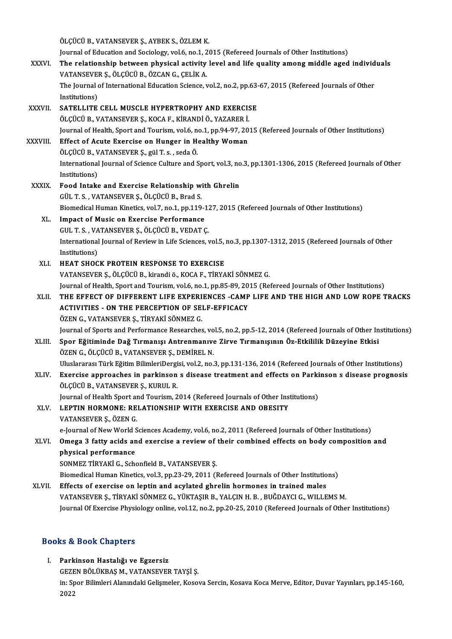ÖLÇÜCÜ B., VATANSEVER Ş., AYBEK S., ÖZLEM K.

ÖLÇÜCÜ B., VATANSEVER Ş., AYBEK S., ÖZLEM K.<br>Journal of Education and Sociology, vol.6, no.1, 2015 (Refereed Journals of Other Institutions)<br>The relationship between physical estivity level and life quality among middle ag

- ÖLÇÜCÜ B., VATANSEVER Ş., AYBEK S., ÖZLEM K.<br>Journal of Education and Sociology, vol.6, no.1, 2015 (Refereed Journals of Other Institutions)<br>XXXVI. The relationship between physical activity level and life quality among mi Journal of Education and Sociology, vol.6, no.1, 2<br>The relationship between physical activity<br>VATANSEVER Ș., ÖLÇÜCÜ B., ÖZCAN G., ÇELİK A.<br>The Journal of International Education Science. The relationship between physical activity level and life quality among middle aged individ<br>VATANSEVER Ş., ÖLÇÜCÜ B., ÖZCAN G., ÇELİK A.<br>The Journal of International Education Science, vol.2, no.2, pp.63-67, 2015 (Refereed VATANSEVER Ş., ÖLÇÜCÜ B., ÖZCAN G., ÇELİK A.<br>The Journal of International Education Science, v<br>Institutions) The Journal of International Education Science, vol.2, no.2, pp.63-67, 2015 (Refereed Journals of Other<br>Institutions)<br>XXXVII. SATELLITE CELL MUSCLE HYPERTROPHY AND EXERCISE<br>ÖLÇÜCÜ B., VATANSEVER Ş., KOCA F., KİRANDİ Ö., YA
- SATELLITE CELL MUSCLE HYPERTROPHY AND EXERCISE SATELLITE CELL MUSCLE HYPERTROPHY AND EXERCISE<br>ÖLÇÜCÜ B., VATANSEVER Ş., KOCA F., KİRANDİ Ö., YAZARER İ.<br>Journal of Health, Sport and Tourism, vol.6, no.1, pp.94-97, 2015 (Refereed Journals of Other Institutions)<br>Effect of
- XXXVIII. Effect of Acute Exercise on Hunger in Healthy Woman Journal of Health, Sport and Tourism, vol.6, n<br>Effect of Acute Exercise on Hunger in H<br>ÖLÇÜCÜ B., VATANSEVER Ş., gül T. s. , seda Ö.<br>International Journal of Science Gulture and S International Journal of Science Culture and Sport, vol.3, no.3, pp.1301-1306, 2015 (Refereed Journals of Other<br>Institutions) ÖLÇÜCÜ B., VATANSEVER Ş., gül T. s., seda Ö. International Journal of Science Culture and Sport, vol.3, no<br>Institutions)<br>XXXIX. Food Intake and Exercise Relationship with Ghrelin<br>CULT S. VATANSEVED S. ÖLCÜCÜ B. Prod S.
- Institutions)<br>Food Intake and Exercise Relationship w:<br>GÜL T.S. , VATANSEVER Ş., ÖLÇÜCÜ B., Brad S.<br>Biomedicel Human Kinetics vel 7, no 1, nn 110 Food Intake and Exercise Relationship with Ghrelin<br>GÜL T. S. , VATANSEVER Ş., ÖLÇÜCÜ B., Brad S.<br>Biomedical Human Kinetics, vol.7, no.1, pp.119-127, 2015 (Refereed Journals of Other Institutions)<br>Impact of Musia on Eversia GÜL T. S., VATANSEVER Ş., ÖLÇÜCÜ B., Brad S.<br>Biomedical Human Kinetics, vol.7, no.1, pp.119-13<br>XL. Impact of Music on Exercise Performance<br>GUL T. S., VATANSEVER S., ÖLCÜCÜ B., VEDAT C.
	- Biomedical Human Kinetics, vol.7, no.1, pp.119-12<br>Impact of Music on Exercise Performance<br>GUL T. S. , VATANSEVER Ş., ÖLÇÜCÜ B., VEDAT Ç.<br>International Journal of Beview in Life Sciences a Impact of Music on Exercise Performance<br>GUL T. S. , VATANSEVER Ş., ÖLÇÜCÜ B., VEDAT Ç.<br>International Journal of Review in Life Sciences, vol.5, no.3, pp.1307-1312, 2015 (Refereed Journals of Other<br>Institutione) **GUL T. S. , VA**<br>International<br>Institutions)<br>HEAT SHOC International Journal of Review in Life Sciences, vol.5,<br>Institutions)<br>XLI. HEAT SHOCK PROTEIN RESPONSE TO EXERCISE<br>VATANSEVERS OLCUCUR Friendi & KOCA E TIRVA
	- Institutions)<br>VATANSEVER S., ÖLÇÜCÜ B., kirandi ö., KOCA F., TİRYAKİ SÖNMEZ G.<br>VATANSEVER S., ÖLÇÜCÜ B., kirandi ö., KOCA F., TİRYAKİ SÖNMEZ G. Journal of Health, Sport and Tourism, vol.6, no.1, pp.85-89, 2015 (Refereed Journals of Other Institutions)
	- XLII. THE EFFECT OF DIFFERENT LIFE EXPERIENCES -CAMP LIFE AND THE HIGH AND LOW ROPE TRACKS Journal of Health, Sport and Tourism, vol.6, no.1, pp.85-89, 20<br>THE EFFECT OF DIFFERENT LIFE EXPERIENCES -CAMP<br>ACTIVITIES - ON THE PERCEPTION OF SELF-EFFICACY<br>ÖZEN C VATANSEVER S TIRVAKI SÖNMEZ C THE EFFECT OF DIFFERENT LIFE EXPERI<br>ACTIVITIES - ON THE PERCEPTION OF SE<br>ÖZEN G., VATANSEVER Ş., TİRYAKİ SÖNMEZ G.<br>Journal of Sports and Borformance Bessarsbes ÖZEN G., VATANSEVER Ş., TİRYAKİ SÖNMEZ G.<br>Journal of Sports and Performance Researches, vol.5, no.2, pp.5-12, 2014 (Refereed Journals of Other Institutions) ÖZEN G., VATANSEVER Ş., TİRYAKİ SÖNMEZ G.<br>Journal of Sports and Performance Researches, vol.5, no.2, pp.5-12, 2014 (Refereed Journals of Other In<br>XLIII. Spor Eğitiminde Dağ Tırmanışı Antrenmanıve Zirve Tırmanışının Öz-Etki

ÖZEN G., ÖLÇÜCÜ B., VATANSEVER Ş., DEMİREL N.<br>Uluslararası Türk Eğitim BilimleriDergisi, vol.2, no.3, pp.131-136, 2014 (Refereed Journals of Other Institutions) Spor Eğitiminde Dağ Tırmanışı Antrenmanıve Zirve Tırmanışının Öz-Etkililik Düzeyine Etkisi<br>ÖZEN G., ÖLÇÜCÜ B., VATANSEVER Ş., DEMİREL N.<br>Uluslararası Türk Eğitim BilimleriDergisi, vol.2, no.3, pp.131-136, 2014 (Refereed Jo

XLIV. Exercise approaches in parkinson s disease treatment and effects on Parkinson s disease prognosis ÖLÇÜCÜ B., VATANSEVER Ş., KURUL R. Exercise approaches in parkinson s disease treatment and effects on Parki<br>ÖLÇÜCÜ B., VATANSEVER Ş., KURUL R.<br>Journal of Health Sport and Tourism, 2014 (Refereed Journals of Other Institutions)<br>LEPTIN HOPMONE, PELATIONSHIP

### XLV. LEPTIN HORMONE: RELATIONSHIP WITH EXERCISE AND OBESITY VATANSEVER S., ÖZEN G. Journal of Health Sport an<br><mark>LEPTIN HORMONE: RE</mark><br>VATANSEVER Ş., ÖZEN G.<br>e Journal of Now World S e-Journal of New World Sciences Academy, vol.6, no.2, 2011 (Refereed Journals of Other Institutions)

VATANSEVER \$,, ÖZEN G.<br>e-Journal of New World Sciences Academy, vol.6, no.2, 2011 (Refereed Journals of Other Institutions)<br>XLVI. Omega 3 fatty acids and exercise a review of their combined effects on body composition and<br> physical performance<br>SONMEZ TİRYAKİ G. Schonfield B. VATANSEVER S. Omega 3 fatty acids and exercise a review of<br>physical performance<br>SONMEZ TİRYAKİ G., Schonfield B., VATANSEVER Ş.<br>Piamedical Human Kinetics vol 3 nn 22 29 2011 (I

Biomedical Human Kinetics, vol.3, pp.23-29, 2011 (Refereed Journals of Other Institutions)

SONMEZ TİRYAKİ G., Schonfield B., VATANSEVER Ş.<br>Biomedical Human Kinetics, vol.3, pp.23-29, 2011 (Refereed Journals of Other Institutio<br>XLVII. Effects of exercise on leptin and acylated ghrelin hormones in trained males<br>VA Biomedical Human Kinetics, vol.3, pp.23-29, 2011 (Refereed Journals of Other Institutions)<br>Effects of exercise on leptin and acylated ghrelin hormones in trained males<br>VATANSEVER Ş., TİRYAKİ SÖNMEZ G., YÜKTAŞIR B., YALÇIN VATANSEVER Ș., TİRYAKİ SÖNMEZ G., YÜKTAŞIR B., YALÇIN H. B. , BUĞDAYCI G., WILLEMS M.<br>Journal Of Exercise Physiology online, vol.12, no.2, pp.20-25, 2010 (Refereed Journals of Other Institutions)

#### Books&Book Chapters

I. Parkinson Hastalığı ve Egzersiz GEZENBÖLÜKBAŞM.,VATANSEVERTAYŞİ Ş. Parkinson Hastalığı ve Egzersiz<br>GEZEN BÖLÜKBAŞ M., VATANSEVER TAYŞİ Ş.<br>in: Spor Bilimleri Alanındaki Gelişmeler, Kosova Sercin, Kosava Koca Merve, Editor, Duvar Yayınları, pp.145-160, GEZE<br>in: Sp<br>2022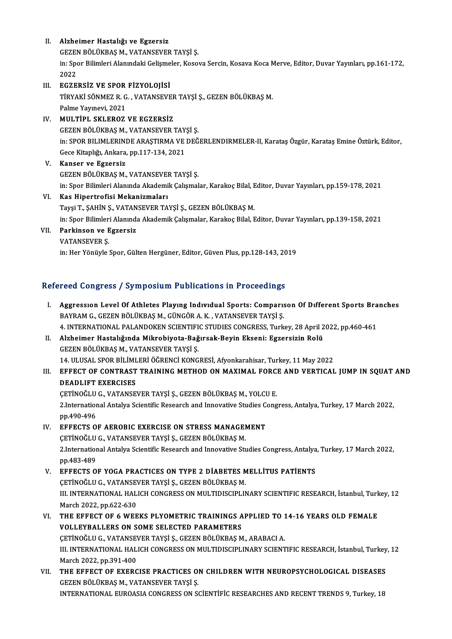#### II. Alzheimer Hastalığı ve Egzersiz

**Alzheimer Hastalığı ve Egzersiz<br>GEZEN BÖLÜKBAŞ M., VATANSEVER TAYŞİ Ş.<br>in: Saar Bilimleri Alanındaki Celismalar, Kasar** in: Spor Bilimleri Alanındaki Gelişmeler, Kosova Sercin, Kosava Koca Merve, Editor, Duvar Yayınları, pp.161-172,<br>2022 GEZEN<br>in: Spo<br>2022<br>ECZE

- III. EGZERSİZ VE SPOR FİZYOLOJİSİ 2022<br>EGZERSİZ VE SPOR FİZYOLOJİSİ<br>TİRYAKİ SÖNMEZ R. G. , VATANSEVER TAYŞİ Ş., GEZEN BÖLÜKBAŞ M.<br>Palma Yavnayi, 2021 EGZERSİZ VE SPOR<br>TİRYAKİ SÖNMEZ R. G<br>Palme Yayınevi, 2021<br>MIJI TİRI SKI EROZ Palme Yayınevi, 2021<br>IV. MULTİPL SKLEROZ VE EGZERSİZ
- Palme Yayınevi, 2021<br>MULTİPL SKLEROZ VE EGZERSİZ<br>GEZEN BÖLÜKBAŞ M., VATANSEVER TAYŞİ Ş.<br>in: SPOP BILIMI ERINDE ARASTIRMA VE DEĞ in: SPOR BILIMLERINDE ARAŞTIRMA VE DEĞERLENDIRMELER-II, Karataş Özgür, Karataş Emine Öztürk, Editor,<br>Gece Kitaplığı, Ankara, pp.117-134, 2021 GEZEN BÖLÜKBAŞ M., VATANSEVER TAY<br>in: SPOR BILIMLERINDE ARAŞTIRMA VE<br>Gece Kitaplığı, Ankara, pp.117-134, 2021<br>Kanser ve Essersis

### V. Kanser ve Egzersiz GEZENBÖLÜKBAŞM.,VATANSEVERTAYŞİ Ş. Kanser ve Egzersiz<br>GEZEN BÖLÜKBAŞ M., VATANSEVER TAYŞİ Ş.<br>in: Spor Bilimleri Alanında Akademik Çalışmalar, Karakoç Bilal, Editor, Duvar Yayınları, pp.159-178, 2021<br>Kas Hinertrefisi Mekanizmaları

- VI. Kas Hipertrofisi Mekanizmaları<br>Tayşi T., ŞAHİN Ş., VATANSEVER TAYŞİ Ş., GEZEN BÖLÜKBAŞ M. in: Spor Bilimleri Alanında Akademik Çalışmalar, Karakoç Bilal, E<br><mark>Kas Hipertrofisi Mekanizmaları</mark><br>Tayşi T., ŞAHİN Ş., VATANSEVER TAYŞİ Ş., GEZEN BÖLÜKBAŞ M.<br>in: Spor Bilimleri Alenuda Akademik Çalışmalar Karakoç Bilal E in: Spor Bilimleri Alanında Akademik Çalışmalar, Karakoç Bilal, Editor, Duvar Yayınları, pp.139-158, 2021 Tayşi T., ŞAHİN Ş., VATAN<br>in: Spor Bilimleri Alanınd:<br>VII. Parkinson ve Egzersiz<br>VATANSEVER S
- in: Spor Bilimler<br><mark>Parkinson ve E</mark><br>VATANSEVER Ş.<br>in: Her <sup>Vänüvle</sub>s</sup>
	-

VATANSEVER Ş.<br>in: Her Yönüyle Spor, Gülten Hergüner, Editor, Güven Plus, pp.128-143, 2019

#### Refereed Congress / Symposium Publications in Proceedings

efereed Congress / Symposium Publications in Proceedings<br>I. Aggression Level Of Athletes Playing Individual Sports: Comparison Of Different Sports Branches<br>RAVRAM G. CEZEN PÖLÜKRAS M. GÜNGÖR A. K. VATANSEVER TAYSI S BAYRAMG.,GEZENBÖLÜKBAŞM.,GÜNGÖRA.K. ,VATANSEVERTAYŞİ Ş. Aggression Level Of Athletes Playing Individual Sports: Comparison Of Different Sports Bra<br>BAYRAM G., GEZEN BÖLÜKBAŞ M., GÜNGÖR A. K. , VATANSEVER TAYŞİ Ş.<br>4. INTERNATIONAL PALANDOKEN SCIENTIFIC STUDIES CONGRESS, Turkey, 2 BAYRAM G., GEZEN BÖLÜKBAŞ M., GÜNGÖR A. K. , VATANSEVER TAYŞİ Ş.<br>4. INTERNATIONAL PALANDOKEN SCIENTIFIC STUDIES CONGRESS, Turkey, 28 April 2<br>II. Alzheimer Hastalığında Mikrobiyota-Bağırsak-Beyin Ekseni: Egzersizin Rolü<br>CEZ 4. INTERNATIONAL PALANDOKEN SCIENTIFI<br>Alzheimer Hastalığında Mikrobiyota-Bağ<br>GEZEN BÖLÜKBAŞ M., VATANSEVER TAYŞİ Ş.<br>14. ULUSAL SPOR BU İMLERİ ÖĞRENCİ KONG Alzheimer Hastalığında Mikrobiyota-Bağırsak-Beyin Ekseni: Egzersizin Rolü<br>GEZEN BÖLÜKBAŞ M., VATANSEVER TAYŞİ Ş.<br>14. ULUSAL SPOR BİLİMLERİ ÖĞRENCİ KONGRESİ, Afyonkarahisar, Turkey, 11 May 2022<br>EEEECT OE CONTRAST TRAINING M

GEZEN BÖLÜKBAŞ M., VATANSEVER TAYŞİ Ş.<br>14. ULUSAL SPOR BİLİMLERİ ÖĞRENCİ KONGRESİ, Afyonkarahisar, Turkey, 11 May 2022<br>III. EFFECT OF CONTRAST TRAINING METHOD ON MAXIMAL FORCE AND VERTICAL JUMP IN SQUAT AND<br>DEADLIET EY 14. ULUSAL SPOR BILIMI<br>EFFECT OF CONTRAST<br>DEADLIFT EXERCISES<br>CETINOČLILC VATANSE EFFECT OF CONTRAST TRAINING METHOD ON MAXIMAL FORC.<br>DEADLIFT EXERCISES<br>ÇETİNOĞLU G., VATANSEVER TAYŞİ Ş., GEZEN BÖLÜKBAŞ M., YOLCU E.<br>2 International Artalya Scientific Bessareb and Innevative Studies Cons

CETINOĞLU G., VATANSEVER TAYŞİ Ş., GEZEN BÖLÜKBAŞ M., YOLCU E.

DEADLIFT EXERCISES<br>ÇETİNOĞLU G., VATANSEVER TAYŞİ Ş., GEZEN BÖLÜKBAŞ M., YOLCU E.<br>2.International Antalya Scientific Research and Innovative Studies Congress, Antalya, Turkey, 17 March 2022,<br>pp.490-496

# IV. EFFECTS OF AEROBIC EXERCISE ON STRESS MANAGEMENT pp.490-496<br>EFFECTS OF AEROBIC EXERCISE ON STRESS MANAGEI<br>ÇETİNOĞLU G., VATANSEVER TAYŞİ Ş., GEZEN BÖLÜKBAŞ M.<br>2 International Artalya Scientific Bessareb and Innovative St.

2.International Antalya Scientific Research and Innovative Studies Congress, Antalya, Turkey, 17 March 2022, pp.483-489 CETINOĞLU<br>2.Internation<br>pp.483-489<br>EEEECTS O 2.International Antalya Scientific Research and Innovative Studies Congress, Antalya<br>pp.483-489<br>V. EFFECTS OF YOGA PRACTICES ON TYPE 2 DIABETES MELLITUS PATIENTS<br>CETINOČLUS VATANSEVER TAVSI S GEZEN PÖLÜVRAS M

# pp.483-489<br>EFFECTS OF YOGA PRACTICES ON TYPE 2 DİABETES M<br>ÇETİNOĞLU G., VATANSEVER TAYŞİ Ş., GEZEN BÖLÜKBAŞ M.<br>IIL INTERNATIONAL HALICH CONCRESS ON MULTIDISCIPLIN EFFECTS OF YOGA PRACTICES ON TYPE 2 DİABETES MELLİTUS PATİENTS<br>ÇETİNOĞLU G., VATANSEVER TAYŞİ Ş., GEZEN BÖLÜKBAŞ M.<br>III. INTERNATIONAL HALICH CONGRESS ON MULTIDISCIPLINARY SCIENTIFIC RESEARCH, İstanbul, Turkey, 12<br>Marsh 20 ÇETİNOĞLU G., VATANSE<br>III. INTERNATIONAL HAL<br>March 2022, pp.622-630<br>THE EEEECT OF 6 WEE III. INTERNATIONAL HALICH CONGRESS ON MULTIDISCIPLINARY SCIENTIFIC RESEARCH, İstanbul, Turk<br>March 2022, pp.622-630<br>VI. THE EFFECT OF 6 WEEKS PLYOMETRIC TRAININGS APPLIED TO 14-16 YEARS OLD FEMALE<br>VOLLEVPALLERS ON SOME SELE

## March 2022, pp.622-630<br>VI. THE EFFECT OF 6 WEEKS PLYOMETRIC TRAININGS APPLIED TO 14-16 YEARS OLD FEMALE<br>VOLLEYBALLERS ON SOME SELECTED PARAMETERS THE EFFECT OF 6 WEEKS PLYOMETRIC TRAININGS APPLIED TO 1<br>VOLLEYBALLERS ON SOME SELECTED PARAMETERS<br>ÇETİNOĞLU G., VATANSEVER TAYŞİ Ş., GEZEN BÖLÜKBAŞ M., ARABACI A.<br>III. INTERNATIONAL HALICH CONCRESS ON MIJ TIDISCIRI INARY S III. INTERNATIONAL HALICH CONGRESS ON MULTIDISCIPLINARY SCIENTIFIC RESEARCH, İstanbul, Turkey, 12<br>March 2022, pp.391-400 ÇETİNOĞLU G., VATANSE<br>III. INTERNATIONAL HAL<br>March 2022, pp.391-400<br>THE EEEECT OF EYERC III. INTERNATIONAL HALICH CONGRESS ON MULTIDISCIPLINARY SCIENTIFIC RESEARCH, İstanbul, Turkey<br>March 2022, pp.391-400<br>VII. THE EFFECT OF EXERCISE PRACTICES ON CHILDREN WITH NEUROPSYCHOLOGICAL DISEASES<br>CEZEN PÖLÜVPAS M. VATA

March 2022, pp.391-400<br>THE EFFECT OF EXERCISE PRACTICES OF<br>GEZEN BÖLÜKBAŞ M., VATANSEVER TAYŞİ Ş.<br>INTERNATIONAL EUROASIA CONCRESS ON SA GEZEN BÖLÜKBAŞ M., VATANSEVER TAYŞİ Ş.<br>INTERNATIONAL EUROASIA CONGRESS ON SCİENTİFİC RESEARCHES AND RECENT TRENDS 9, Turkey, 18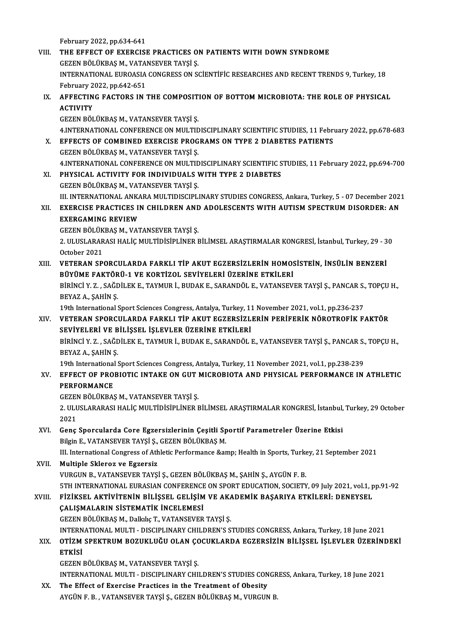February2022,pp.634-641

- February 2022, pp.634-641<br>VIII. THE EFFECT OF EXERCISE PRACTICES ON PATIENTS WITH DOWN SYNDROME<br>CEZEN PÔLIVPAS M VATANSEVER TAXS S February 2022, pp.634-641<br>THE EFFECT OF EXERCISE PRACTICES OF<br>GEZEN BÖLÜKBAŞ M., VATANSEVER TAYŞİ Ş.<br>INTERNATIONAL EUROASIA CONCRESS ON SA THE EFFECT OF EXERCISE PRACTICES ON PATIENTS WITH DOWN SYNDROME<br>GEZEN BÖLÜKBAŞ M., VATANSEVER TAYŞİ Ş.<br>INTERNATIONAL EUROASIA CONGRESS ON SCİENTİFİC RESEARCHES AND RECENT TRENDS 9, Turkey, 18<br>February 2022, np.642,651. GEZEN BÖLÜKBAŞ M., VATA<br>INTERNATIONAL EUROASIA<br>February 2022, pp.642-651<br>AEEECTING FACTOBS IN I INTERNATIONAL EUROASIA CONGRESS ON SCIENTIFIC RESEARCHES AND RECENT TRENDS 9, Turkey, 18<br>February 2022, pp.642-651<br>IX. AFFECTING FACTORS IN THE COMPOSITION OF BOTTOM MICROBIOTA: THE ROLE OF PHYSICAL
- February 2022, pp.642-651<br>AFFECTING FACTORS IN THE COMPOSITI<br>ACTIVITY<br>GEZEN BÖLÜKBAŞ M., VATANSEVER TAYŞİ Ş. AFFECTING FACTORS IN THE COMPOSIT<br>ACTIVITY<br>GEZEN BÖLÜKBAŞ M., VATANSEVER TAYŞİ Ş.<br>4 INTERNATIONAL CONEERENCE ON MILITID ACTIVITY<br>GEZEN BÖLÜKBAŞ M., VATANSEVER TAYŞİ Ş.<br>4.INTERNATIONAL CONFERENCE ON MULTIDISCIPLINARY SCIENTIFIC STUDIES, 11 February 2022, pp.678-683<br>FEFECTS OF COMPINED EXERCISE PROCRAMS ON TYPE 2 DIARETES RATIENTS

- X. EFFECTS OF COMBINED EXERCISE PROGRAMS ON TYPE 2 DIABETES PATIENTS<br>GEZEN BÖLÜKBAŞ M., VATANSEVER TAYŞİ Ş. 4.INTERNATIONAL CONFERENCE ON MULTID<br>EFFECTS OF COMBINED EXERCISE PROG<br>GEZEN BÖLÜKBAŞ M., VATANSEVER TAYŞİ Ş.<br>4 INTERNATIONAL CONFERENCE ON MULTID EFFECTS OF COMBINED EXERCISE PROGRAMS ON TYPE 2 DIABETES PATIENTS<br>GEZEN BÖLÜKBAŞ M., VATANSEVER TAYŞİ Ş.<br>4.INTERNATIONAL CONFERENCE ON MULTIDISCIPLINARY SCIENTIFIC STUDIES, 11 February 2022, pp.694-700<br>PHYSICAL ACTIVITY FO GEZEN BÖLÜKBAŞ M., VATANSEVER TAYŞİ Ş.<br>4.INTERNATIONAL CONFERENCE ON MULTIDISCIPLINARY SCIENTIFIC S<br>XI. PHYSICAL ACTIVITY FOR INDIVIDUALS WITH TYPE 2 DIABETES<br>CEZEN BÖLÜKBAS M. VATANSEVER TAYSİ S
- XI. PHYSICAL ACTIVITY FOR INDIVIDUALS WITH TYPE 2 DIABETES<br>GEZEN BÖLÜKBAŞM., VATANSEVER TAYŞİ Ş. I I. INTERNATIONALANKARAMULTIDISCIPLINARYSTUDIESCONGRESS,Ankara,Turkey,5 -07December 2021 XI . EXERCISE PRACTICES IN CHILDREN AND ADOLESCENTSWITH AUTISMSPECTRUMDISORDER: AN
- III. INTERNATIONAL ANKA<br><mark>EXERCISE PRACTICES II</mark><br>EXERGAMING REVIEW<br>CEZEN PÖLÜVPAS M. VAT EXERCISE PRACTICES IN CHILDREN AND<br>EXERGAMING REVIEW<br>GEZEN BÖLÜKBAŞ M., VATANSEVER TAYŞİ Ş.<br>2. III USLARARASI HALİC MILITINİSIN İNER E

EXERGAMING REVIEW<br>GEZEN BÖLÜKBAŞ M., VATANSEVER TAYŞİ Ş.<br>2. ULUSLARARASI HALİÇ MULTİDİSİPLİNER BİLİMSEL ARAŞTIRMALAR KONGRESİ, İstanbul, Turkey, 29 - 30<br>Ostabar 2021 **GEZEN BÖLÜK<br>2. ULUSLARAR<br>October 2021<br>VETERAN SP**A XI I. VETERAN SPORCULARDA FARKLI TİP AKUT EGZERSİZLERİN HOMOSİSTEİN, İNSÜLİN BENZERİ

October 2021<br>XIII. VETERAN SPORCULARDA FARKLI TİP AKUT EGZERSİZLERİN HOMOSİSTEİN, İNSÜLİN BENZERİ<br>BÜYÜME FAKTÖRÜ-1 VE KORTİZOL SEVİYELERİ ÜZERİNE ETKİLERİ VETERAN SPORCULARDA FARKLI TİP AKUT EGZERSİZLERİN HOMOSİSTEİN, İNSÜLİN BENZERİ<br>BÜYÜME FAKTÖRÜ-1 VE KORTİZOL SEVİYELERİ ÜZERİNE ETKİLERİ<br>BİRİNCİ Y. Z. , SAĞDİLEK E., TAYMUR İ., BUDAK E., SARANDÖL E., VATANSEVER TAYŞİ Ş., PA

B<mark>ÜYÜME FAKTÖR</mark><br>BİRİNCİ Y. Z. , SAĞL<br>BEYAZ A., ŞAHİN Ş.<br>19th International i BİRİNCİ Y. Z. , SAĞDİLEK E., TAYMUR İ., BUDAK E., SARANDÖL E., VATANSEVER TAYŞİ Ş., PANCAR S.,<br>BEYAZ A., ŞAHİN Ş.<br>19th International Sport Sciences Congress, Antalya, Turkey, 11 November 2021, vol.1, pp.236-237<br>VETERAN, SP

19th International Sport Sciences Congress, Antalya, Turkey, 11 November 2021, vol.1, pp.236-237

BEYAZ A., ŞAHİN Ş.<br>19th International Sport Sciences Congress, Antalya, Turkey, 11 November 2021, vol.1, pp.236-237<br>XIV. VETERAN SPORCULARDA FARKLI TİP AKUT EGZERSİZLERİN PERİFERİK NÖROTROFİK FAKTÖR<br>SEVİYELERİ VE BİLİS VETERAN SPORCULARDA FARKLI TİP AKUT EGZERSİZLERİN PERİFERİK NÖROTROFİK FAKTÖR<br>SEVİYELERİ VE BİLİŞSEL İŞLEVLER ÜZERİNE ETKİLERİ<br>BİRİNCİ Y. Z. , SAĞDİLEK E., TAYMUR İ., BUDAK E., SARANDÖL E., VATANSEVER TAYŞİ Ş., PANCAR S., SEVİYELERİ VE B<br>BİRİNCİ Y. Z. , SAĞL<br>BEYAZ A., ŞAHİN Ş.<br>10th International i BİRİNCİ Y. Z. , SAĞDİLEK E., TAYMUR İ., BUDAK E., SARANDÖL E., VATANSEVER TAYŞİ Ş., PANCAR S.,<br>BEYAZ A., ŞAHİN Ş.<br>19th International Sport Sciences Congress, Antalya, Turkey, 11 November 2021, vol.1, pp.238-239<br>EEEECT OE P

BEYAZ A., ŞAHİN Ş.<br>19th International Sport Sciences Congress, Antalya, Turkey, 11 November 2021, vol.1, pp.238-239<br>XV. EFFECT OF PROBIOTIC INTAKE ON GUT MICROBIOTA AND PHYSICAL PERFORMANCE IN ATHLETIC<br>REREORMANCE 19th International Sport Sciences Congress, Antalya, Turkey, 11 November 2021, vol.1, pp.238-239<br>EFFECT OF PROBIOTIC INTAKE ON GUT MICROBIOTA AND PHYSICAL PERFORMANCE IN<br>PERFORMANCE<br>GEZEN BÖLÜKBAS M., VATANSEVER TAYSI S. EFFECT OF PROBIOTIC INTAKE ON GUT |<br>PERFORMANCE<br>GEZEN BÖLÜKBAŞ M., VATANSEVER TAYŞİ Ş.<br>2. HUSLARARASI HALİC MILTİNİSIN İNER E

PERFORMANCE<br>GEZEN BÖLÜKBAŞ M., VATANSEVER TAYŞİ Ş.<br>2. ULUSLARARASI HALİÇ MULTİDİSİPLİNER BİLİMSEL ARAŞTIRMALAR KONGRESİ, İstanbul, Turkey, 29 October<br>2021 GEZEN<br>2. ULL<br>2021 2. ULUSLARARASI HALİÇ MULTİDİSİPLİNER BİLİMSEL ARAŞTIRMALAR KONGRESİ, İstanbul,<br>2021<br>XVI. Genç Sporcularda Core Egzersizlerinin Çeşitli Sportif Parametreler Üzerine Etkisi<br>Pilgin E. VATANSEVER TAVSİ S. CEZEN PÖLÜKRAS M

2021<br>XVI. Genç Sporcularda Core Egzersizlerinin Çeşitli Sportif Parametreler Üzerine Etkisi<br>Bilgin E., VATANSEVER TAYŞİ Ş., GEZEN BÖLÜKBAŞ M. Genç Sporcularda Core Egzersizlerinin Çeşitli Sportif Parametreler Üzerine Etkisi<br>Bilgin E., VATANSEVER TAYŞİ Ş., GEZEN BÖLÜKBAŞ M.<br>III. International Congress of Athletic Performance &amp; Health in Sports, Turkey, 21 Sep

XVII. Multiple Skleroz ve Egzersiz<br>VURGUN B., VATANSEVER TAYŞİ Ş., GEZEN BÖLÜKBAŞ M., ŞAHİN Ş., AYGÜN F. B. III. International Congress of Athletic Performance & Health in Sports, Turk<mark>e</mark><br>Multiple Skleroz ve Egzersiz<br>VURGUN B., VATANSEVER TAYŞİ Ş., GEZEN BÖLÜKBAŞ M., ŞAHİN Ş., AYGÜN F. B.<br>ETH INTERNATIONAL FURASIAN CONEERENC Multiple Skleroz ve Egzersiz<br>VURGUN B., VATANSEVER TAYŞİ Ş., GEZEN BÖLÜKBAŞ M., ŞAHİN Ş., AYGÜN F. B.<br>5TH INTERNATIONAL EURASIAN CONFERENCE ON SPORT EDUCATION, SOCIETY, 09 July 2021, vol.1, pp.91-92<br>FİZİKSEL, AKTİVİTENİN B VURGUN B., VATANSEVER TAYŞİ Ş., GEZEN BÖLÜKBAŞ M., ŞAHİN Ş., AYGÜN F. B.<br>5TH INTERNATIONAL EURASIAN CONFERENCE ON SPORT EDUCATION, SOCIETY, 09 July 2021, vol.1, p<br>7 KVIII. FİZİKSEL AKTİVİTENİN BİLİŞSEL GELİŞİM VE AKADE 5TH INTERNATIONAL EURASIAN CONFERENCE<br>FİZİKSEL AKTİVİTENİN BİLİŞSEL GELİŞİM<br>ÇALIŞMALARIN SİSTEMATİK İNCELEMESİ<br>CEZEN PÖLÜKRAS M. Dolluka T. VATANSEVER

XVIII. FİZİKSEL AKTİVİTENİN BİLİŞSEL GELİŞİM VE AKADEMİK BAŞARIYA ETKİLERİ: DENEYSEL ÇALIŞMALARIN SİSTEMATİK İNCELEMESI<br>GEZEN BÖLÜKBAS M., Dalkılıç T., VATANSEVER TAYSI S.

INTERNATIONALMULTI -DISCIPLINARYCHILDREN'S STUDIESCONGRESS,Ankara,Turkey,18 June 2021

# GEZEN BÖLÜKBAŞ M., Dalkılıç T., VATANSEVER TAYŞİ Ş.<br>INTERNATIONAL MULTI - DISCIPLINARY CHILDREN'S STUDIES CONGRESS, Ankara, Turkey, 18 June 2021<br>XIX. OTİZM SPEKTRUM BOZUKLUĞU OLAN ÇOCUKLARDA EGZERSİZİN BİLİŞSEL İŞLEVLE INTERN<br><mark>OTİZM</mark><br>ETKİSİ ETKİSİ<br>GEZEN BÖLÜKBAŞ M., VATANSEVER TAYŞİ Ş. ETKİSİ<br>GEZEN BÖLÜKBAŞ M., VATANSEVER TAYŞİ Ş.<br>INTERNATIONAL MULTI - DISCIPLINARY CHILDREN'S STUDIES CONGRESS, Ankara, Turkey, 18 June 2021<br>The Effect of Exensise Prestises in the Treatment of Obesity

XX. The Effect of Exercise Practices in the Treatment of Obesity<br>AYGÜN F. B., VATANSEVER TAYŞİ Ş., GEZEN BÖLÜKBAŞ M., VURGUN B. INTERNATIONAL MULTI - DISCIPLINARY CHILDREN'S STUDIES CONGR<br>The Effect of Exercise Practices in the Treatment of Obesity<br>AYGÜN F. B. , VATANSEVER TAYŞİ Ş., GEZEN BÖLÜKBAŞ M., VURGUN B.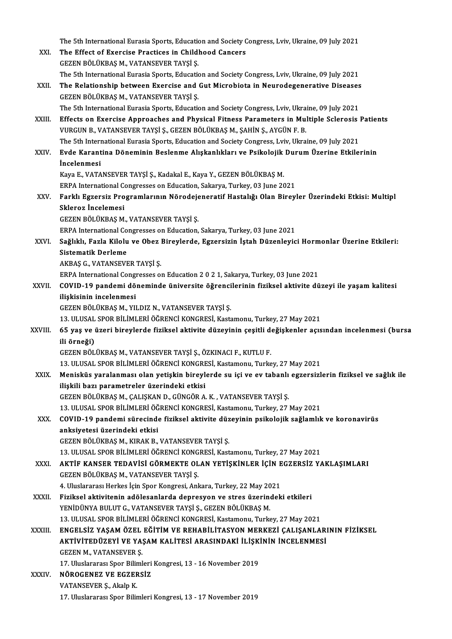| XXI.         | The 5th International Eurasia Sports, Education and Society Congress, Lviv, Ukraine, 09 July 2021<br>The Effect of Exercise Practices in Childhood Cancers |
|--------------|------------------------------------------------------------------------------------------------------------------------------------------------------------|
|              |                                                                                                                                                            |
|              | GEZEN BÖLÜKBAŞ M., VATANSEVER TAYŞİ Ş.                                                                                                                     |
|              | The 5th International Eurasia Sports, Education and Society Congress, Lviv, Ukraine, 09 July 2021                                                          |
| XXII.        | The Relationship between Exercise and Gut Microbiota in Neurodegenerative Diseases<br>GEZEN BÖLÜKBAŞ M., VATANSEVER TAYŞİ Ş.                               |
|              | The 5th International Eurasia Sports, Education and Society Congress, Lviv, Ukraine, 09 July 2021                                                          |
| XXIII.       | Effects on Exercise Approaches and Physical Fitness Parameters in Multiple Sclerosis Patients                                                              |
|              | VURGUN B., VATANSEVER TAYŞİ Ş., GEZEN BÖLÜKBAŞ M., ŞAHİN Ş., AYGÜN F. B.                                                                                   |
|              | The 5th International Eurasia Sports, Education and Society Congress, Lviv, Ukraine, 09 July 2021                                                          |
| <b>XXIV</b>  | Evde Karantina Döneminin Beslenme Alışkanlıkları ve Psikolojik Durum Üzerine Etkilerinin                                                                   |
|              | <i>incelenmesi</i>                                                                                                                                         |
|              | Kaya E., VATANSEVER TAYŞİ Ş., Kadakal E., Kaya Y., GEZEN BÖLÜKBAŞ M.                                                                                       |
|              | ERPA International Congresses on Education, Sakarya, Turkey, 03 June 2021                                                                                  |
| XXV.         | Farklı Egzersiz Programlarının Nörodejeneratif Hastalığı Olan Bireyler Üzerindeki Etkisi: Multipl                                                          |
|              | Skleroz Incelemesi                                                                                                                                         |
|              | GEZEN BÖLÜKBAŞ M., VATANSEVER TAYŞİ Ş.                                                                                                                     |
|              | ERPA International Congresses on Education, Sakarya, Turkey, 03 June 2021                                                                                  |
| XXVI.        | Sağlıklı, Fazla Kilolu ve Obez Bireylerde, Egzersizin İştah Düzenleyici Hormonlar Üzerine Etkileri:                                                        |
|              | <b>Sistematik Derleme</b>                                                                                                                                  |
|              | AKBAŞ G., VATANSEVER TAYŞİ Ş.                                                                                                                              |
|              | ERPA International Congresses on Education 2 0 2 1, Sakarya, Turkey, 03 June 2021                                                                          |
| XXVII.       | COVID-19 pandemi döneminde üniversite öğrencilerinin fiziksel aktivite düzeyi ile yaşam kalitesi                                                           |
|              | ilişkisinin incelenmesi                                                                                                                                    |
|              | GEZEN BÖLÜKBAŞ M., YILDIZ N., VATANSEVER TAYŞİ Ş.                                                                                                          |
|              | 13. ULUSAL SPOR BİLİMLERİ ÖĞRENCİ KONGRESİ, Kastamonu, Turkey, 27 May 2021                                                                                 |
| XXVIII.      | 65 yaş ve üzeri bireylerde fiziksel aktivite düzeyinin çeşitli değişkenler açısından incelenmesi (bursa                                                    |
|              | ili örneği)                                                                                                                                                |
|              | GEZEN BÖLÜKBAŞ M., VATANSEVER TAYŞİ Ş., ÖZKINACI F., KUTLU F.                                                                                              |
|              | 13. ULUSAL SPOR BİLİMLERİ ÖĞRENCİ KONGRESİ, Kastamonu, Turkey, 27 May 2021                                                                                 |
| XXIX.        | Menisküs yaralanması olan yetişkin bireylerde su içi ve ev tabanlı egzersizlerin fiziksel ve sağlık ile                                                    |
|              | ilişkili bazı parametreler üzerindeki etkisi                                                                                                               |
|              | GEZEN BÖLÜKBAŞ M., ÇALIŞKAN D., GÜNGÖR A. K. , VATANSEVER TAYŞİ Ş.                                                                                         |
|              | 13. ULUSAL SPOR BİLİMLERİ ÖĞRENCİ KONGRESİ, Kastamonu, Turkey, 27 May 2021                                                                                 |
| XXX.         | COVID-19 pandemi sürecinde fiziksel aktivite düzeyinin psikolojik sağlamlık ve koronavirüs                                                                 |
|              | anksiyetesi üzerindeki etkisi                                                                                                                              |
|              | GEZEN BÖLÜKBAŞ M., KIRAK B., VATANSEVER TAYŞİ Ş.                                                                                                           |
|              | 13. ULUSAL SPOR BİLİMLERİ ÖĞRENCİ KONGRESİ, Kastamonu, Turkey, 27 May 2021                                                                                 |
| XXXI.        | AKTIF KANSER TEDAVISI GÖRMEKTE OLAN YETIŞKINLER İÇIN EGZERSIZ YAKLAŞIMLARI                                                                                 |
|              | GEZEN BÖLÜKBAŞ M., VATANSEVER TAYŞİ Ş.                                                                                                                     |
|              | 4. Uluslararası Herkes İçin Spor Kongresi, Ankara, Turkey, 22 May 2021                                                                                     |
| <b>XXXII</b> | Fiziksel aktivitenin adölesanlarda depresyon ve stres üzerindeki etkileri                                                                                  |
|              | YENİDÜNYA BULUT G., VATANSEVER TAYŞİ Ş., GEZEN BÖLÜKBAŞ M.                                                                                                 |
|              | 13. ULUSAL SPOR BİLİMLERİ ÖĞRENCİ KONGRESİ, Kastamonu, Turkey, 27 May 2021                                                                                 |
| XXXIII       | ENGELSİZ YAŞAM ÖZEL EĞİTİM VE REHABİLİTASYON MERKEZİ ÇALIŞANLARININ FİZİKSEL                                                                               |
|              | AKTİVİTEDÜZEYİ VE YAŞAM KALİTESİ ARASINDAKİ İLİŞKİNİN İNCELENMESİ                                                                                          |
|              | <b>GEZEN M., VATANSEVER S.</b>                                                                                                                             |
|              | 17. Uluslararası Spor Bilimleri Kongresi, 13 - 16 November 2019                                                                                            |
| XXXIV.       | NÖROGENEZ VE EGZERSİZ                                                                                                                                      |
|              | VATANSEVER Ş., Akalp K.<br>17. Uluslararası Spor Bilimleri Kongresi, 13 - 17 November 2019                                                                 |
|              |                                                                                                                                                            |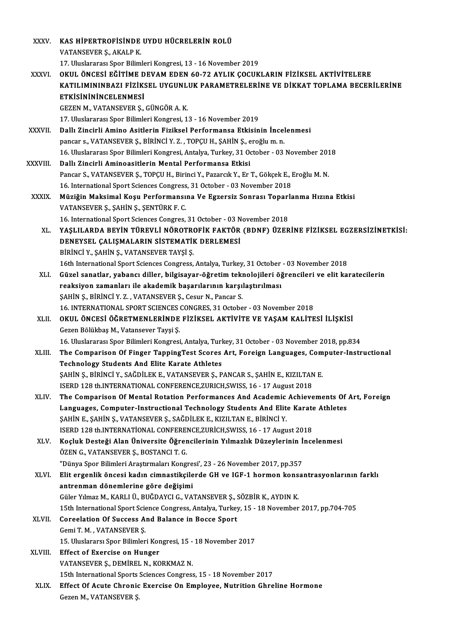| XXXV.    | KAS HİPERTROFİSİNDE UYDU HÜCRELERİN ROLÜ                                                           |
|----------|----------------------------------------------------------------------------------------------------|
|          | VATANSEVER Ş., AKALP K.                                                                            |
|          | 17. Uluslararası Spor Bilimleri Kongresi, 13 - 16 November 2019                                    |
| XXXVI.   | OKUL ÖNCESI EĞİTİME DEVAM EDEN 60-72 AYLIK ÇOCUKLARIN FİZİKSEL AKTİVİTELERE                        |
|          | KATILIMININBAZI FİZİKSEL UYGUNLUK PARAMETRELERİNE VE DİKKAT TOPLAMA BECERİLERİNE                   |
|          | ETKISINININCELENMESI                                                                               |
|          | GEZEN M., VATANSEVER Ş., GÜNGÖR A.K.                                                               |
|          | 17. Uluslararası Spor Bilimleri Kongresi, 13 - 16 November 2019                                    |
| XXXVII.  | Dallı Zincirli Amino Asitlerin Fiziksel Performansa Etkisinin İncelenmesi                          |
|          | pancar s., VATANSEVER Ş., BİRİNCİ Y. Z., TOPÇU H., ŞAHİN Ş., eroğlu m. n.                          |
|          | 16. Uluslararası Spor Bilimleri Kongresi, Antalya, Turkey, 31 October - 03 November 2018           |
| XXXVIII. | Dallı Zincirli Aminoasitlerin Mental Performansa Etkisi                                            |
|          | Pancar S., VATANSEVER S., TOPÇU H., Birinci Y., Pazarcık Y., Er T., Gökçek E., Eroğlu M. N.        |
|          | 16. International Sport Sciences Congress, 31 October - 03 November 2018                           |
| XXXIX.   | Müziğin Maksimal Koşu Performansına Ve Egzersiz Sonrası Toparlanma Hızına Etkisi                   |
|          | VATANSEVER Ş., ŞAHİN Ş., ŞENTÜRK F. C.                                                             |
|          | 16. International Sport Sciences Congres, 31 October - 03 November 2018                            |
| XL.      | YAŞLILARDA BEYİN TÜREVLİ NÖROTROFİK FAKTÖR (BDNF) ÜZERİNE FİZİKSEL EGZERSİZİNETKİSİ:               |
|          | DENEYSEL ÇALIŞMALARIN SİSTEMATİK DERLEMESİ                                                         |
|          | BİRİNCİ Y., ŞAHİN Ş., VATANSEVER TAYŞİ Ş.                                                          |
|          | 16th International Sport Sciences Congress, Antalya, Turkey, 31 October - 03 November 2018         |
| XLI.     | Güzel sanatlar, yabancı diller, bilgisayar-öğretim teknolojileri öğrencileri ve elit karatecilerin |
|          | reaksiyon zamanları ile akademik başarılarının karşılaştırılması                                   |
|          | ŞAHİN Ş., BİRİNCİ Y.Z., VATANSEVER Ş., Cesur N., Pancar S.                                         |
|          | 16. INTERNATIONAL SPORT SCIENCES CONGRES, 31 October - 03 November 2018                            |
| XLII.    | OKUL ÖNCESİ ÖĞRETMENLERİNDE FİZİKSEL AKTİVİTE VE YAŞAM KALİTESİ İLİŞKİSİ                           |
|          | Gezen Bölükbaş M., Vatansever Tayşi Ş.                                                             |
|          | 16. Uluslararası Spor Bilimleri Kongresi, Antalya, Turkey, 31 October - 03 November 2018, pp.834   |
| XLIII.   | The Comparison Of Finger TappingTest Scores Art, Foreign Languages, Computer-Instructional         |
|          | <b>Technology Students And Elite Karate Athletes</b>                                               |
|          | ŞAHİN Ş., BİRİNCİ Y., SAĞDİLEK E., VATANSEVER Ş., PANCAR S., ŞAHİN E., KIZILTAN E.                 |
|          | ISERD 128 th.INTERNATIONAL CONFERENCE, ZURICH, SWISS, 16 - 17 August 2018                          |
| XLIV.    | The Comparison Of Mental Rotation Performances And Academic Achievements Of Art, Foreign           |
|          | Languages, Computer-Instructional Technology Students And Elite Karate Athletes                    |
|          | ŞAHİN E., ŞAHİN Ş., VATANSEVER Ş., SAĞDİLEK E., KIZILTAN E., BİRİNCİ Y.                            |
|          | ISERD 128 th.INTERNATIONAL CONFERENCE, ZURICH, SWISS, 16 - 17 August 2018                          |
| XLV.     | Koçluk Desteği Alan Üniversite Öğrencilerinin Yılmazlık Düzeylerinin İncelenmesi                   |
|          | ÖZEN G., VATANSEVER Ş., BOSTANCI T. G.                                                             |
|          | "Dünya Spor Bilimleri Araştırmaları Kongresi', 23 - 26 November 2017, pp.357                       |
| XLVI.    | Elit ergenlik öncesi kadın cimnastikçilerde GH ve IGF-1 hormon konsantrasyonlarının farklı         |
|          | antrenman dönemlerine göre değişimi                                                                |
|          | Güler Yılmaz M., KARLI Ü., BUĞDAYCI G., VATANSEVER Ş., SÖZBİR K., AYDIN K.                         |
|          | 15th International Sport Science Congress, Antalya, Turkey, 15 - 18 November 2017, pp.704-705      |
| XLVII.   | Coreelation Of Success And Balance in Bocce Sport                                                  |
|          | Gemi T. M., VATANSEVER S.                                                                          |
|          | 15. Uluslararsı Spor Bilimleri Kongresi, 15 - 18 November 2017                                     |
| XLVIII.  | <b>Effect of Exercise on Hunger</b>                                                                |
|          | VATANSEVER Ş., DEMİREL N., KORKMAZ N.                                                              |
|          | 15th International Sports Sciences Congress, 15 - 18 November 2017                                 |
| XLIX.    | Effect Of Acute Chronic Exercise On Employee, Nutrition Ghreline Hormone                           |
|          | Gezen M., VATANSEVER Ş.                                                                            |
|          |                                                                                                    |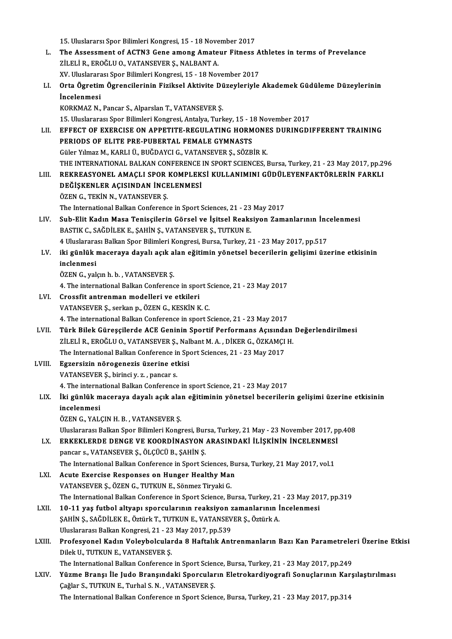15. Uluslararsı Spor Bilimleri Kongresi, 15 - 18 November 2017

- 15. Uluslararsı Spor Bilimleri Kongresi, 15 18 November 2017<br>L. The Assessment of ACTN3 Gene among Amateur Fitness Athletes in terms of Prevelance<br>Zit ELLE EROČLU O VATANSEVER S. NALRANT A 15. Uluslararsı Spor Bilimleri Kongresi, 15 - 18 Nove<br>The Assessment of ACTN3 Gene among Amate<br>ZİLELİ R., EROĞLU O., VATANSEVER Ş., NALBANT A. The Assessment of ACTN3 Gene among Amateur Fitness A<br>ZİLELİ R., EROĞLU O., VATANSEVER Ş., NALBANT A.<br>XV. Uluslararası Spor Bilimleri Kongresi, 15 - 18 November 2017<br>Orta Ösretim Ösrengilerinin Fizikasl Aktivite Düzeyleriyl XV. Uluslararası Spor Bilimleri Kongresi, 15 - 18 November 2017
- ZİLELİ R., EROĞLU O., VATANSEVER Ş., NALBANT A.<br>XV. Uluslararası Spor Bilimleri Kongresi, 15 18 November 2017<br>LI. Orta Ögretim Ögrencilerinin Fiziksel Aktivite Düzeyleriyle Akademek Güdüleme Düzeylerinin<br>İncelenmesi İncelenmesi<br>KORKMAZ N., Pancar S., Alparslan T., VATANSEVER Ş.<br>15. Uluslararası Spor Bilimleri Kongresi, Antalya, Turkey, 15 - 18 November 2017<br>FEEECT OF EXERCISE ON APRETITE RECIJI ATINC HORMONES DIJRINCDI

KORKMAZ N., Pancar S., Alparslan T., VATANSEVER Ş.

LII. EFFECT OF EXERCISE ON APPETITE-REGULATING HORMONES DURINGDIFFERENT TRAINING<br>PERIODS OF ELITE PRE-PUBERTAL FEMALE GYMNASTS 15. Uluslararası Spor Bilimleri Kongresi, Antalya, Turkey, 15 - 1:<br>EFFECT OF EXERCISE ON APPETITE-REGULATING HORM<br>PERIODS OF ELITE PRE-PUBERTAL FEMALE GYMNASTS<br>Cüler Yılmaz M. KARLLÜ, RUČDAYCLC, VATANSEVER S. SÖZR Güler Yılmaz M., KARLI Ü., BUĞDAYCI G., VATANSEVER Ş., SÖZBİR K. THE INTERNATIONAL BALKAN CONFERENCE IN SPORT SCIENCES, Bursa, Turkey, 21 - 23 May 2017, pp.296

LIII. REKREASYONEL AMAÇLI SPOR KOMPLEKSİ KULLANIMINI GÜDÜLEYENFAKTÖRLERİN FARKLI THE INTERNATIONAL BALKAN CONFERENCE<br>REKREASYONEL AMAÇLI SPOR KOMPLEK<br>DEĞİŞKENLER AÇISINDAN İNCELENMESİ<br>ÖZEN C. TEKİN N. VATANEEVER S REKREASYONEL AMAÇLI SPOR<br>DEĞİŞKENLER AÇISINDAN İNCE<br>ÖZEN G., TEKİN N., VATANSEVER Ş.<br>The International Ballan Conferenc DEĞİŞKENLER AÇISINDAN İNCELENMESİ<br>ÖZEN G., TEKİN N., VATANSEVER Ş.<br>The International Balkan Conference in Sport Sciences, 21 - 23 May 2017<br>Sub. Elit Kodın Maga Tanissilerin Görsel ve İsitasl Baskajyan Zamı

ÖZEN G., TEKİN N., VATANSEVER Ş.<br>The International Balkan Conference in Sport Sciences, 21 - 23 May 2017<br>LIV. Sub-Elit Kadın Masa Tenisçilerin Görsel ve İşitsel Reaksiyon Zamanlarının İncelenmesi<br>BASTIK C., SAĞDİLEK E., SA The International Balkan Conference in Sport Sciences, 21 - 23<br>Sub-Elit Kadın Masa Tenisçilerin Görsel ve İşitsel Reaks<br>BASTIK C., SAĞDİLEK E., ŞAHİN Ş., VATANSEVER Ş., TUTKUN E.<br>4 Huskanana Balkan Spor Bilimleri Kongresi, Sub-Elit Kadın Masa Tenisçilerin Görsel ve İşitsel Reaksiyon Zamanlarının İnc<br>BASTIK C., SAĞDİLEK E., ŞAHİN Ş., VATANSEVER Ş., TUTKUN E.<br>4 Uluslararası Balkan Spor Bilimleri Kongresi, Bursa, Turkey, 21 - 23 May 2017, pp.51

BASTIK C., SAĞDİLEK E., ŞAHİN Ş., VATANSEVER Ş., TUTKUN E.<br>4 Uluslararası Balkan Spor Bilimleri Kongresi, Bursa, Turkey, 21 - 23 May 2017, pp.517<br>LV. iki günlük maceraya dayalı açık alan eğitimin yönetsel becerilerin g 4 Uluslarara<br><mark>iki günlük</mark><br>inclenmesi<br>ÖZEN C. val iki günlük maceraya dayalı açık a<br>inclenmesi<br>ÖZEN G., yalçın h. b. , VATANSEVER Ş.<br>4. The international Balkan Conferenc inclenmesi<br>ÖZEN G., yalçın h. b. , VATANSEVER Ş.<br>4. The international Balkan Conference in sport Science, 21 - 23 May 2017<br>Crossfit antronman modellari ve etkileri

- ÖZEN G., yalçın h. b. , VATANSEVER Ş.<br>4. The international Balkan Conference in sport S<br>LVI. Crossfit antrenman modelleri ve etkileri<br>VATANSEVER Ş., serkan p., ÖZEN G., KESKİN K. C. 4. The international Balkan Conference in sport S<br>Crossfit antrenman modelleri ve etkileri<br>VATANSEVER Ş., serkan p., ÖZEN G., KESKİN K. C.<br>4. The international Ballian Conference in sport S Crossfit antrenman modelleri ve etkileri<br>VATANSEVER Ş., serkan p., ÖZEN G., KESKİN K. C.<br>4. The international Balkan Conference in sport Science, 21 - 23 May 2017<br>Türk Bilek Güressilerde ACE Ceninin Sportif Berformans Asıs
- LVII. Türk Bilek Güreşçilerde ACE Geninin Sportif Performans Açısından Değerlendirilmesi<br>ZİLELİ R., EROĞLU O., VATANSEVER Ş., Nalbant M. A., DİKER G., ÖZKAMÇI H. 4. The international Balkan Conference in sport Science, 21 - 23 May 2017<br>Türk Bilek Güreşçilerde ACE Geninin Sportif Performans Açısından<br>ZİLELİ R., EROĞLU O., VATANSEVER Ş., Nalbant M. A. , DİKER G., ÖZKAMÇI H.<br>The Inter Türk Bilek Güreşçilerde ACE Geninin Sportif Performans Açısında<br>ZİLELİ R., EROĞLU O., VATANSEVER Ş., Nalbant M. A. , DİKER G., ÖZKAMÇI<br>The International Balkan Conference in Sport Sciences, 21 - 23 May 2017<br>Eggensirin nöne
- LVIII. Egzersizin nörogenezis üzerine etkisi<br>VATANSEVER Ş., birinci y. z., pancar s. The International Balkan Conference in<br>Egzersizin nörogenezis üzerine et<br>VATANSEVER Ş., birinci y. z. , pancar s.<br>4. The international Ballian Conference Egzersizin nörogenezis üzerine etkisi<br>VATANSEVER Ş., birinci y. z. , pancar s.<br>4. The international Balkan Conference in sport Science, 21 - 23 May 2017<br>Iki günlük masaraya dayalı asık alan ağıtımının vönetsel basariları

# LIX. İki günlükmaceraya dayalı açık alan eğitiminin yönetsel becerilerin gelişimi üzerine etkisinin 4. The interna<br>İki günlük m<br>incelenmesi<br>ÖZEN C. YAL

ÖZEN G., YALÇIN H. B., VATANSEVER Ş.

Uluslararası Balkan Spor Bilimleri Kongresi, Bursa, Turkey, 21 May - 23 November 2017, pp.408

ÖZEN G., YALÇIN H. B. , VATANSEVER Ş.<br>Uluslararası Balkan Spor Bilimleri Kongresi, Bursa, Turkey, 21 May - 23 November 2017, p<br>LX. ERKEKLERDE DENGE VE KOORDİNASYON ARASINDAKİ İLİŞKİNİN İNCELENMESİ pancar s., VATANSEVER Ş., ÖLÇÜCÜ B., ŞAHİN Ş.<br>The International Balkan Conference in Sport Sciences, Bursa, Turkey, 21 May 2017, vol.1 ERKEKLERDE DENGE VE KOORDINASYON ARASINDAKI ILIŞKININ INCELENMESI<br>pancar s., VATANSEVER Ş., ÖLÇÜCÜ B., ŞAHIN Ş.<br>The International Balkan Conference in Sport Sciences, Bursa, Turkey, 21 May 2017, vol.1<br>Agute Exergise Pernan

#### LXI. Acute Exercise Responses on Hunger Healthy Man VATANSEVER Ş., ÖZEN G., TUTKUN E., Sönmez Tiryaki G. Acute Exercise Responses on Hunger Healthy Man<br>VATANSEVER Ş., ÖZEN G., TUTKUN E., Sönmez Tiryaki G.<br>The International Balkan Conference in Sport Science, Bursa, Turkey, 21 - 23 May 2017, pp.319<br>10.11 vas futbol altvanı spo VATANSEVER Ş., ÖZEN G., TUTKUN E., Sönmez Tiryaki G.<br>The International Balkan Conference in Sport Science, Bursa, Turkey, 21 - 23 May 201<br>LXII. 10-11 yaş futbol altyapı sporcularının reaksiyon zamanlarının İncelenmesi<br>SAHİ

- The International Balkan Conference in Sport Science, Bursa, Turkey, 21<br>10-11 yaş futbol altyapı sporcularının reaksiyon zamanlarının İ<br>ŞAHİN Ş., SAĞDİLEK E., Öztürk T., TUTKUN E., VATANSEVER Ş., Öztürk A.<br>Uluslararası Bal 10-11 yaş futbol altyapı sporcularının reaksiyon zamanlarının İncelenmesi<br>ŞAHİN Ş., SAĞDİLEK E., Öztürk T., TUTKUN E., VATANSEVER Ş., Öztürk A.<br>Uluslararası Balkan Kongresi, 21 - 23 May 2017, pp.539
- LXIII. Profesyonel Kadın Voleybolcularda 8 Haftalık Antrenmanların Bazı Kan Parametreleri Üzerine Etkisi Dilek U., TUTKUN E., VATANSEVER Ş. Profesyonel Kadın Voleybolcularda 8 Haftalık Antrenmanların Bazı Kan Parametrele<br>Dilek U., TUTKUN E., VATANSEVER Ş.<br>The International Balkan Conference in Sport Science, Bursa, Turkey, 21 - 23 May 2017, pp.249<br>Vüzme Bransı

Dilek U., TUTKUN E., VATANSEVER Ş.<br>The International Balkan Conference in Sport Science, Bursa, Turkey, 21 - 23 May 2017, pp.249<br>LXIV. Yüzme Branşı İle Judo Branşındaki Sporcuların Eletrokardiyografi Sonuçlarının Karşı The International Balkan Conference in Sport Scien<br>Yüzme Branşı İle Judo Branşındaki Sporcular<br>Çağlar S., TUTKUN E., Turhal S. N. , VATANSEVER Ş.<br>The International Balkan Conference ın Sport Scien Yüzme Branşı İle Judo Branşındaki Sporcuların Eletrokardiyografi Sonuçlarının Kar<br>Çağlar S., TUTKUN E., Turhal S. N. , VATANSEVER Ş.<br>The International Balkan Conference ın Sport Science, Bursa, Turkey, 21 - 23 May 2017, pp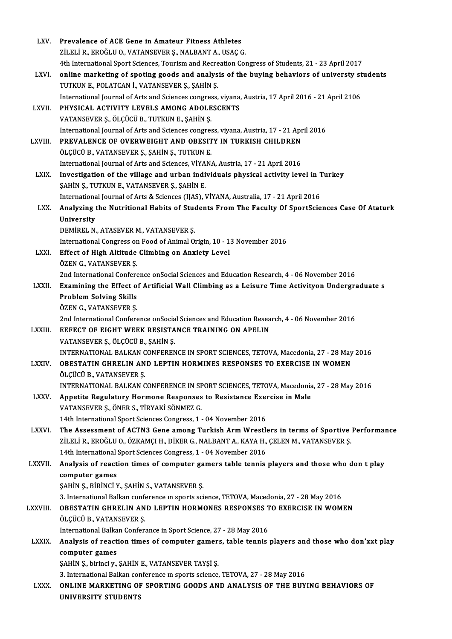| LXV.             | Prevalence of ACE Gene in Amateur Fitness Athletes                                                                                                             |
|------------------|----------------------------------------------------------------------------------------------------------------------------------------------------------------|
|                  | ZİLELİ R., EROĞLU O., VATANSEVER Ş., NALBANT A., USAÇ G.                                                                                                       |
|                  | 4th International Sport Sciences, Tourism and Recreation Congress of Students, 21 - 23 April 2017                                                              |
| LXVI.            | online marketing of spoting goods and analysis of the buying behaviors of universty students                                                                   |
|                  | TUTKUN E., POLATCAN İ., VATANSEVER Ş., ŞAHİN Ş.                                                                                                                |
|                  | International Journal of Arts and Sciences congress, viyana, Austria, 17 April 2016 - 21 April 2106                                                            |
| LXVII.           | PHYSICAL ACTIVITY LEVELS AMONG ADOLESCENTS                                                                                                                     |
|                  | VATANSEVER Ş., ÖLÇÜCÜ B., TUTKUN E., ŞAHİN Ş.                                                                                                                  |
|                  | International Journal of Arts and Sciences congress, viyana, Austria, 17 - 21 April 2016                                                                       |
| <b>LXVIII.</b>   | PREVALENCE OF OVERWEIGHT AND OBESITY IN TURKISH CHILDREN                                                                                                       |
|                  | ÖLÇÜCÜ B., VATANSEVER Ş., ŞAHİN Ş., TUTKUN E.                                                                                                                  |
|                  | International Journal of Arts and Sciences, VİYANA, Austria, 17 - 21 April 2016                                                                                |
| LXIX.            | Investigation of the village and urban individuals physical activity level in Turkey<br>ŞAHİN Ş., TUTKUN E., VATANSEVER Ş., ŞAHİN E.                           |
|                  | International Journal of Arts & Sciences (IJAS), VİYANA, Australia, 17 - 21 April 2016                                                                         |
| LXX.             | Analyzing the Nutritional Habits of Students From The Faculty Of SportSciences Case Of Ataturk                                                                 |
|                  | University                                                                                                                                                     |
|                  | DEMIREL N., ATASEVER M., VATANSEVER S.                                                                                                                         |
|                  | International Congress on Food of Animal Origin, 10 - 13 November 2016                                                                                         |
| LXXI.            | Effect of High Altitude Climbing on Anxiety Level                                                                                                              |
|                  | ÖZEN G., VATANSEVER Ş.                                                                                                                                         |
|                  | 2nd International Conference onSocial Sciences and Education Research, 4 - 06 November 2016                                                                    |
| LXXII.           | Examining the Effect of Artificial Wall Climbing as a Leisure Time Activityon Undergraduate s                                                                  |
|                  | <b>Problem Solving Skills</b>                                                                                                                                  |
|                  | ÖZEN G., VATANSEVER Ş.                                                                                                                                         |
|                  | 2nd International Conference onSocial Sciences and Education Research, 4 - 06 November 2016                                                                    |
| <b>LXXIII.</b>   | EEFECT OF EIGHT WEEK RESISTANCE TRAINING ON APELIN                                                                                                             |
|                  | VATANSEVER Ş., ÖLÇÜCÜ B., ŞAHİN Ş.                                                                                                                             |
| <b>LXXIV</b>     | INTERNATIONAL BALKAN CONFERENCE IN SPORT SCIENCES, TETOVA, Macedonia, 27 - 28 May 2016<br>OBESTATIN GHRELIN AND LEPTIN HORMINES RESPONSES TO EXERCISE IN WOMEN |
|                  | ÖLÇÜCÜ B., VATANSEVER Ş.                                                                                                                                       |
|                  | INTERNATIONAL BALKAN CONFERENCE IN SPORT SCIENCES, TETOVA, Macedonia, 27 - 28 May 2016                                                                         |
| <b>LXXV</b>      | Appetite Regulatory Hormone Responses to Resistance Exercise in Male                                                                                           |
|                  | VATANSEVER Ş., ÖNER S., TİRYAKİ SÖNMEZ G.                                                                                                                      |
|                  | 14th International Sport Sciences Congress, 1 - 04 November 2016                                                                                               |
| LXXVI.           | The Assessment of ACTN3 Gene among Turkish Arm Wrestlers in terms of Sportive Performance                                                                      |
|                  | ZİLELİ R., EROĞLU O., ÖZKAMÇI H., DİKER G., NALBANT A., KAYA H., ÇELEN M., VATANSEVER Ş.                                                                       |
|                  | 14th International Sport Sciences Congress, 1 - 04 November 2016                                                                                               |
| LXXVII.          | Analysis of reaction times of computer gamers table tennis players and those who don t play                                                                    |
|                  | computer games                                                                                                                                                 |
|                  | ŞAHİN Ş., BİRİNCİ Y., ŞAHİN S., VATANSEVER Ş.                                                                                                                  |
|                  | 3. International Balkan conference in sports science, TETOVA, Macedonia, 27 - 28 May 2016                                                                      |
| <b>LXXVIII</b> . | OBESTATIN GHRELIN AND LEPTIN HORMONES RESPONSES TO EXERCISE IN WOMEN                                                                                           |
|                  | ÖLÇÜCÜ B., VATANSEVER Ş.                                                                                                                                       |
|                  | International Balkan Conferance in Sport Science, 27 - 28 May 2016                                                                                             |
| <b>LXXIX</b>     | Analysis of reaction times of computer gamers, table tennis players and those who don'xxt play                                                                 |
|                  | computer games<br>ŞAHİN Ş., birinci y., ŞAHİN E., VATANSEVER TAYŞİ Ş.                                                                                          |
|                  | 3. International Balkan conference in sports science, TETOVA, 27 - 28 May 2016                                                                                 |
| <b>LXXX</b>      | ONLINE MARKETING OF SPORTING GOODS AND ANALYSIS OF THE BUYING BEHAVIORS OF                                                                                     |
|                  | UNIVERSITY STUDENTS                                                                                                                                            |
|                  |                                                                                                                                                                |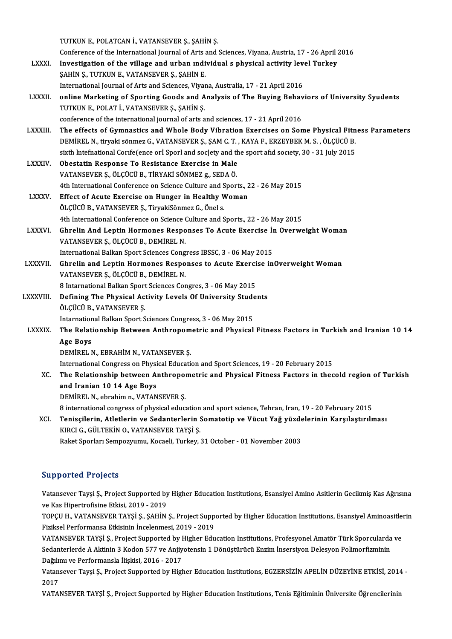TUTKUNE.,POLATCANİ.,VATANSEVERŞ.,ŞAHİNŞ.

Conference of the International Journal of Arts and Sciences, Viyana, Austria, 17 - 26 April 2016

- TUTKUN E., POLATCAN İ., VATANSEVER Ş., ŞAHİN Ş.<br>Conference of the International Journal of Arts and Sciences, Viyana, Austria, 17 26 April 2<br>LXXXI. Investigation of the village and urban individual s physical activity le Conference of the International Journal of Arts and<br>Investigation of the village and urban indi<br>SAHİN S., TUTKUN E., VATANSEVER S., SAHİN E. Investigation of the village and urban individual s physical activity lev<br>SAHİN Ş., TUTKUN E., VATANSEVER Ş., ŞAHİN E.<br>International Journal of Arts and Sciences, Viyana, Australia, 17 - 21 April 2016<br>Anline Marketing of S SAHIN S., TUTKUN E., VATANSEVER S., SAHIN E.<br>International Journal of Arts and Sciences, Viyana, Australia, 17 - 21 April 2016<br>LXXXII. online Marketing of Sporting Goods and Analysis of The Buying Behaviors of Universi
- International Journal of Arts and Sciences, Viyana, Australia, 17 21 April 2016<br>
online Marketing of Sporting Goods and Analysis of The Buying Behav<br>
TUTKUN E., POLAT İ., VATANSEVER Ş., ŞAHİN Ş.<br>
conference of the intern online Marketing of Sporting Goods and Analysis of The Buying Behav<br>TUTKUN E., POLAT İ., VATANSEVER Ş., ŞAHİN Ş.<br>conference of the international journal of arts and sciences, 17 - 21 April 2016<br>The effects of Cumnastics an
- LXXXIII. The effects of Gymnastics and Whole Body Vibration Exercises on Some Physical Fitness Parameters conference of the international journal of arts and sciences, 17 - 21 April 2016<br>The effects of Gymnastics and Whole Body Vibration Exercises on Some Physical Fitn<br>DEMİREL N., tiryaki sönmez G., VATANSEVER Ş., ŞAM C. T. , The effects of Gymnastics and Whole Body Vibration Exercises on Some Physical Fitn<br>DEMİREL N., tiryaki sönmez G., VATANSEVER Ş., ŞAM C. T. , KAYA F., ERZEYBEK M. S. , ÖLÇÜCÜ B.<br>sixth Intefnational Corife(ence orİ Sporland DEMIREL N., tiryaki sönmez G., VATANSEVER Ş., ŞAM C. T.<br>sixth Intefnational Corife (ence or I Sport and society and the<br>LXXXIV. Obestatin Response To Resistance Exercise in Male<br>VATANSEVER S. ÖLGÜÇÜ B. TİRVAKİ SÖNMEZ G. SE
- sixth Intefnational Corife(ence orl Sporl and soc|ety and the sport afid society, 30 31 July 2015<br>Obestatin Response To Resistance Exercise in Male<br>VATANSEVER Ş., ÖLÇÜCÜ B., TİRYAKİ SÖNMEZ g., SEDA Ö. Obestatin Response To Resistance Exercise in Male<br>VATANSEVER Ș., ÖLÇÜCÜ B., TİRYAKİ SÖNMEZ g., SEDA Ö.<br>4th International Conference on Science Culture and Sports., 22 - 26 May 2015<br>Effect of Aqute Exercise on Hunger in Hee VATANSEVER Ș., ÖLÇÜCÜ B., TİRYAKİ SÖNMEZ g., SEDA Ö.<br>4th International Conference on Science Culture and Sports., 2<br>LXXXV. Effect of Acute Exercise on Hunger in Healthy Woman
- 4th International Conference on Science Culture and S<br>Effect of Acute Exercise on Hunger in Healthy V<br>ÖLÇÜCÜ B., VATANSEVER Ş., TiryakiSönmez G., Önel s.<br>4th International Conference on Science Culture and S Effect of Acute Exercise on Hunger in Healthy Woman<br>ÖLÇÜCÜ B., VATANSEVER Ş., TiryakiSönmez G., Önel s.<br>4th International Conference on Science Culture and Sports., 22 - 26 May 2015<br>Chrolin And Lontin Hormones Beenonses To
- ÖLÇÜCÜ B., VATANSEVER Ş., TiryakiSönmez G., Önel s.<br>4th International Conference on Science Culture and Sports., 22 26 May 2015<br>LXXXVI. Ghrelin And Leptin Hormones Responses To Acute Exercise İn Overweight Woman<br>VATANSEV 4th International Conference on Science (<br>Ghrelin And Leptin Hormones Respo<br>VATANSEVER Ș., ÖLÇÜCÜ B., DEMİREL N.<br>International Ballran Sport Sciences Cong Ghrelin And Leptin Hormones Responses To Acute Exercise In<br>VATANSEVER Ş., ÖLÇÜCÜ B., DEMİREL N.<br>International Balkan Sport Sciences Congress IBSSC, 3 - 06 May 2015<br>Chrelin and Lentin Hermones Responses to Asute Exercise in
- LXXXVII. Ghrelin and Leptin Hormones Responses to Acute Exercise inOverweight Woman VATANSEVER S., ÖLÇÜCÜ B., DEMIREL N. International Balkan Sport Sciences Cong<br>Ghrelin and Leptin Hormones Respo<br>VATANSEVER Ș., ÖLÇÜCÜ B., DEMİREL N.<br>9 International Balkan Sport Sciences Cor Ghrelin and Leptin Hormones Responses to Acute Exerci<br>VATANSEVER Ș., ÖLÇÜCÜ B., DEMİREL N.<br>8 Intarnational Balkan Sport Sciences Congres, 3 - 06 May 2015<br>Defining The Physical Activity Levels Of University Stude VATANSEVER Ş., ÖLÇÜCÜ B., DEMİREL N.<br>8 Intarnational Balkan Sport Sciences Congres, 3 - 06 May 2015<br>LXXXVIII. Defining The Physical Activity Levels Of University Students<br>ÖLCÜ B. VATANSEVER S
- 8 Intarnational Balkan Sport<br>Defining The Physical Ac<br>ÖLÇÜCÜ B., VATANSEVER Ş.<br>Intarnational Balkan Sport S Defining The Physical Activity Levels Of University Stude<br>ÖLÇÜCÜ B., VATANSEVER Ş.<br>Intarnational Balkan Sport Sciences Congress, 3 - 06 May 2015<br>The Belationship Between Anthronometris and Physical

Intarnational Balkan Sport Sciences Congress, 3 - 06 May 2015

ÖLÇÜCÜ B., VATANSEVER Ș.<br>Intarnational Balkan Sport Sciences Congress, 3 - 06 May 2015<br>LXXXIX. The Relationship Between Anthropometric and Physical Fitness Factors in Turkish and Iranian 10 14<br>Age Boys Age Boys<br>DEMİREL N., EBRAHİM N., VATANSEVER Ş.<br>International Congress on Physical Education and Sport Sciences, 19 - 20 February 2015<br>The Belationabin between Anthronometrie and Physical Eitness Festors in thes

DEMİREL N., EBRAHİM N., VATANSEVER Ş.

DEMIREL N., EBRAHIM N., VATANSEVER Ş.<br>International Congress on Physical Education and Sport Sciences, 19 - 20 February 2015<br>XC. The Relationship between Anthropometric and Physical Fitness Factors in thecold region of Tur International Congress on Physi<br>The Relationship between Aft<br>and Iranian 10 14 Age Boys<br>PEMIPEL N. obrobim n. VATAN The Relationship between Anthropol<br>and Iranian 10 14 Age Boys<br>DEMİREL N., ebrahim n., VATANSEVER Ş.<br>8 international congrees of physical educe 8 and Iranian 10 14 Age Boys<br>19 DEMIREL N., ebrahim n., VATANSEVER Ş.<br>8 international congress of physical education and sport science, Tehran, Iran, 19 - 20 February 2015

DEMİREL N., ebrahim n., VATANSEVER Ş.<br>8 international congress of physical education and sport science, Tehran, Iran, 19 - 20 February 2015<br>XCI. Tenisçilerin, Atletlerin ve Sedanterlerin Somatotip ve Vücut Yağ yüzdeler 8 international congress of physical education<br>Tenisçilerin, Atletlerin ve Sedanterlerin !<br>KIRCI G., GÜLTEKİN O., VATANSEVER TAYŞİ Ş.<br>Pekst Sperler: Semnezzumu, Kasseli Turkey Tenisçilerin, Atletlerin ve Sedanterlerin Somatotip ve Vücut Yağ yüzde<br>KIRCI G., GÜLTEKİN O., VATANSEVER TAYŞİ Ş.<br>Raket Sporları Sempozyumu, Kocaeli, Turkey, 31 October - 01 November 2003 Raket Sporları Sempozyumu, Kocaeli, Turkey, 31 October - 01 November 2003<br>Supported Projects

Supported Projects<br>Vatansever Tayşi Ş., Project Supported by Higher Education Institutions, Esansiyel Amino Asitlerin Gecikmiş Kas Ağrısına<br>Ve Kas Hinartrafisina Etkisi, 2019, ... 2019 varp por coarr rejects<br>Vatansever Tayşi Ş., Project Supported by<br>ve Kas Hipertrofisine Etkisi, 2019 - 2019<br>TOPCU H., VATANSEVER TAYSİ S. SAHİN Vatansever Tayşi Ş., Project Supported by Higher Education Institutions, Esansiyel Amino Asitlerin Gecikmiş Kas Ağrısına<br>ve Kas Hipertrofisine Etkisi, 2019 - 2019<br>TOPÇU H., VATANSEVER TAYŞİ Ş., ŞAHİN Ş., Project Supported

ve Kas Hipertrofisine Etkisi, 2019 - 2019<br>TOPÇU H., VATANSEVER TAYŞİ Ş., ŞAHİN Ş., Project Supp<br>Fiziksel Performansa Etkisinin İncelenmesi, 2019 - 2019<br>VATANSEVER TAYŞİ S., Project Supported bu Hisber Edu TOPÇU H., VATANSEVER TAYŞİ Ş., ŞAHİN Ş., Project Supported by Higher Education Institutions, Esansiyel Aminoasitle:<br>Fiziksel Performansa Etkisinin İncelenmesi, 2019 - 2019<br>VATANSEVER TAYŞİ Ş., Project Supported by Higher E

Fiziksel Performansa Etkisinin İncelenmesi, 2019 - 2019<br>VATANSEVER TAYŞİ Ş., Project Supported by Higher Education Institutions, Profesyonel Amatör Türk Sporcularda ve<br>Sedanterlerde A Aktinin 3 Kodon 577 ve Anjiyotensin 1 Sedanterlerde A Aktinin 3 Kodon 577 ve Anjiyotensin 1 Dönüştürücü Enzim İnsersiyon Delesyon Polimorfizminin Sedanterlerde A Aktinin 3 Kodon 577 ve Anjiyotensin 1 Dönüştürücü Enzim İnsersiyon Delesyon Polimorfizminin<br>Dağılımı ve Performansla İlişkisi, 2016 - 2017<br>Vatansever Tayşi Ş., Project Supported by Higher Education Institut

Dağılı<mark>ı</mark><br>Vatan<br>2017<br>VATA Vatansever Tayşi Ş., Project Supported by Higher Education Institutions, EGZERSİZİN APELİN DÜZEYİNE ETKİSİ, 2014<br>2017<br>VATANSEVER TAYŞİ Ş., Project Supported by Higher Education Institutions, Tenis Eğitiminin Üniversite Öğr